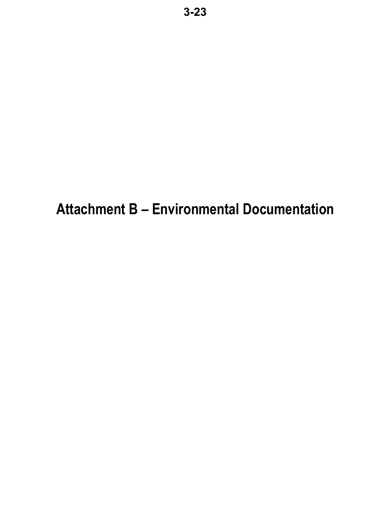# **Attachment B – Environmental Documentation**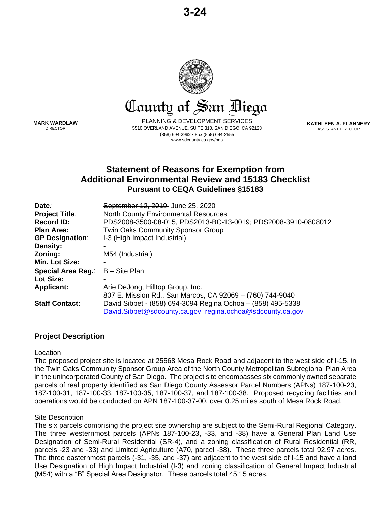

County of San Biego

**MARK WARDLAW** DIRECTOR

PLANNING & DEVELOPMENT SERVICES 5510 OVERLAND AVENUE, SUITE 310, SAN DIEGO, CA 92123 (858) 694-2962 ▪ Fax (858) 694-2555 www.sdcounty.ca.gov/pds

**KATHLEEN A. FLANNERY** ASSISTANT DIRECTOR

# **Statement of Reasons for Exemption from Additional Environmental Review and 15183 Checklist Pursuant to CEQA Guidelines §15183**

| Date:                     | September 12, 2019 June 25, 2020                              |
|---------------------------|---------------------------------------------------------------|
| <b>Project Title:</b>     | <b>North County Environmental Resources</b>                   |
| <b>Record ID:</b>         | PDS2008-3500-08-015, PDS2013-BC-13-0019; PDS2008-3910-0808012 |
| <b>Plan Area:</b>         | <b>Twin Oaks Community Sponsor Group</b>                      |
| <b>GP Designation:</b>    | I-3 (High Impact Industrial)                                  |
| Density:                  |                                                               |
| Zoning:                   | M54 (Industrial)                                              |
| Min. Lot Size:            |                                                               |
| <b>Special Area Reg.:</b> | B – Site Plan                                                 |
| Lot Size:                 |                                                               |
| <b>Applicant:</b>         | Arie DeJong, Hilltop Group, Inc.                              |
|                           | 807 E. Mission Rd., San Marcos, CA 92069 - (760) 744-9040     |
| <b>Staff Contact:</b>     | David Sibbet - (858) 694-3094 Regina Ochoa - (858) 495-5338   |
|                           | David.Sibbet@sdcounty.ca.gov regina.ochoa@sdcounty.ca.gov     |
|                           |                                                               |

# **Project Description**

#### Location

The proposed project site is located at 25568 Mesa Rock Road and adjacent to the west side of I-15, in the Twin Oaks Community Sponsor Group Area of the North County Metropolitan Subregional Plan Area in the unincorporated County of San Diego. The project site encompasses six commonly owned separate parcels of real property identified as San Diego County Assessor Parcel Numbers (APNs) 187-100-23, 187-100-31, 187-100-33, 187-100-35, 187-100-37, and 187-100-38. Proposed recycling facilities and operations would be conducted on APN 187-100-37-00, over 0.25 miles south of Mesa Rock Road.

#### Site Description

The six parcels comprising the project site ownership are subject to the Semi-Rural Regional Category. The three westernmost parcels (APNs 187-100-23, -33, and -38) have a General Plan Land Use Designation of Semi-Rural Residential (SR-4), and a zoning classification of Rural Residential (RR, parcels -23 and -33) and Limited Agriculture (A70, parcel -38). These three parcels total 92.97 acres. The three easternmost parcels (-31, -35, and -37) are adjacent to the west side of I-15 and have a land Use Designation of High Impact Industrial (I-3) and zoning classification of General Impact Industrial (M54) with a "B" Special Area Designator. These parcels total 45.15 acres.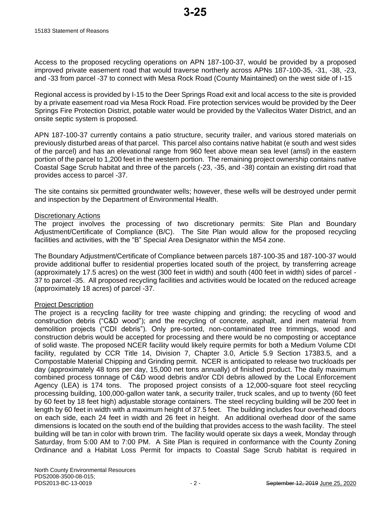Access to the proposed recycling operations on APN 187-100-37, would be provided by a proposed improved private easement road that would traverse northerly across APNs 187-100-35, -31, -38, -23, and -33 from parcel -37 to connect with Mesa Rock Road (County Maintained) on the west side of I-15

Regional access is provided by I-15 to the Deer Springs Road exit and local access to the site is provided by a private easement road via Mesa Rock Road. Fire protection services would be provided by the Deer Springs Fire Protection District, potable water would be provided by the Vallecitos Water District, and an onsite septic system is proposed.

APN 187-100-37 currently contains a patio structure, security trailer, and various stored materials on previously disturbed areas of that parcel. This parcel also contains native habitat (e south and west sides of the parcel) and has an elevational range from 960 feet above mean sea level (amsl) in the eastern portion of the parcel to 1,200 feet in the western portion. The remaining project ownership contains native Coastal Sage Scrub habitat and three of the parcels (-23, -35, and -38) contain an existing dirt road that provides access to parcel -37.

The site contains six permitted groundwater wells; however, these wells will be destroyed under permit and inspection by the Department of Environmental Health.

#### Discretionary Actions

The project involves the processing of two discretionary permits: Site Plan and Boundary Adjustment/Certificate of Compliance (B/C). The Site Plan would allow for the proposed recycling facilities and activities, with the "B" Special Area Designator within the M54 zone.

The Boundary Adjustment/Certificate of Compliance between parcels 187-100-35 and 187-100-37 would provide additional buffer to residential properties located south of the project, by transferring acreage (approximately 17.5 acres) on the west (300 feet in width) and south (400 feet in width) sides of parcel - 37 to parcel -35. All proposed recycling facilities and activities would be located on the reduced acreage (approximately 18 acres) of parcel -37.

#### Project Description

The project is a recycling facility for tree waste chipping and grinding; the recycling of wood and construction debris ("C&D wood"); and the recycling of concrete, asphalt, and inert material from demolition projects ("CDI debris"). Only pre-sorted, non-contaminated tree trimmings, wood and construction debris would be accepted for processing and there would be no composting or acceptance of solid waste. The proposed NCER facility would likely require permits for both a Medium Volume CDI facility, regulated by CCR Title 14, Division 7, Chapter 3.0, Article 5.9 Section 17383.5, and a Compostable Material Chipping and Grinding permit. NCER is anticipated to release two truckloads per day (approximately 48 tons per day, 15,000 net tons annually) of finished product. The daily maximum combined process tonnage of C&D wood debris and/or CDI debris allowed by the Local Enforcement Agency (LEA) is 174 tons. The proposed project consists of a 12,000-square foot steel recycling processing building, 100,000-gallon water tank, a security trailer, truck scales, and up to twenty (60 feet by 60 feet by 18 feet high) adjustable storage containers. The steel recycling building will be 200 feet in length by 60 feet in width with a maximum height of 37.5 feet. The building includes four overhead doors on each side, each 24 feet in width and 26 feet in height. An additional overhead door of the same dimensions is located on the south end of the building that provides access to the wash facility. The steel building will be tan in color with brown trim. The facility would operate six days a week, Monday through Saturday, from 5:00 AM to 7:00 PM. A Site Plan is required in conformance with the County Zoning Ordinance and a Habitat Loss Permit for impacts to Coastal Sage Scrub habitat is required in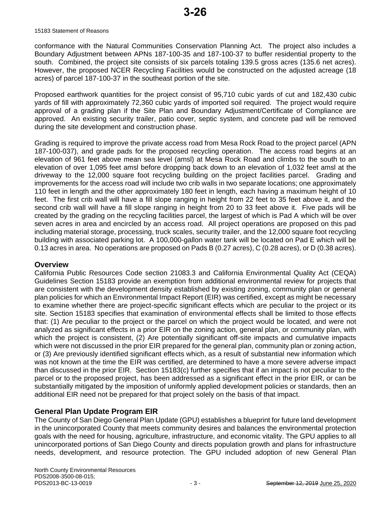conformance with the Natural Communities Conservation Planning Act. The project also includes a Boundary Adjustment between APNs 187-100-35 and 187-100-37 to buffer residential property to the south. Combined, the project site consists of six parcels totaling 139.5 gross acres (135.6 net acres). However, the proposed NCER Recycling Facilities would be constructed on the adjusted acreage (18 acres) of parcel 187-100-37 in the southeast portion of the site.

Proposed earthwork quantities for the project consist of 95,710 cubic yards of cut and 182,430 cubic yards of fill with approximately 72,360 cubic yards of imported soil required. The project would require approval of a grading plan if the Site Plan and Boundary Adjustment/Certificate of Compliance are approved. An existing security trailer, patio cover, septic system, and concrete pad will be removed during the site development and construction phase.

Grading is required to improve the private access road from Mesa Rock Road to the project parcel (APN 187-100-037), and grade pads for the proposed recycling operation. The access road begins at an elevation of 961 feet above mean sea level (amsl) at Mesa Rock Road and climbs to the south to an elevation of over 1,095 feet amsl before dropping back down to an elevation of 1,032 feet amsl at the driveway to the 12,000 square foot recycling building on the project facilities parcel. Grading and improvements for the access road will include two crib walls in two separate locations; one approximately 110 feet in length and the other approximately 180 feet in length, each having a maximum height of 10 feet. The first crib wall will have a fill slope ranging in height from 22 feet to 35 feet above it, and the second crib wall will have a fill slope ranging in height from 20 to 33 feet above it. Five pads will be created by the grading on the recycling facilities parcel, the largest of which is Pad A which will be over seven acres in area and encircled by an access road. All project operations are proposed on this pad including material storage, processing, truck scales, security trailer, and the 12,000 square foot recycling building with associated parking lot. A 100,000-gallon water tank will be located on Pad E which will be 0.13 acres in area. No operations are proposed on Pads B (0.27 acres), C (0.28 acres), or D (0.38 acres).

#### **Overview**

California Public Resources Code section 21083.3 and California Environmental Quality Act (CEQA) Guidelines Section 15183 provide an exemption from additional environmental review for projects that are consistent with the development density established by existing zoning, community plan or general plan policies for which an Environmental Impact Report (EIR) was certified, except as might be necessary to examine whether there are project-specific significant effects which are peculiar to the project or its site. Section 15183 specifies that examination of environmental effects shall be limited to those effects that: (1) Are peculiar to the project or the parcel on which the project would be located, and were not analyzed as significant effects in a prior EIR on the zoning action, general plan, or community plan, with which the project is consistent, (2) Are potentially significant off-site impacts and cumulative impacts which were not discussed in the prior EIR prepared for the general plan, community plan or zoning action, or (3) Are previously identified significant effects which, as a result of substantial new information which was not known at the time the EIR was certified, are determined to have a more severe adverse impact than discussed in the prior EIR. Section 15183(c) further specifies that if an impact is not peculiar to the parcel or to the proposed project, has been addressed as a significant effect in the prior EIR, or can be substantially mitigated by the imposition of uniformly applied development policies or standards, then an additional EIR need not be prepared for that project solely on the basis of that impact.

# **General Plan Update Program EIR**

The County of San Diego General Plan Update (GPU) establishes a blueprint for future land development in the unincorporated County that meets community desires and balances the environmental protection goals with the need for housing, agriculture, infrastructure, and economic vitality. The GPU applies to all unincorporated portions of San Diego County and directs population growth and plans for infrastructure needs, development, and resource protection. The GPU included adoption of new General Plan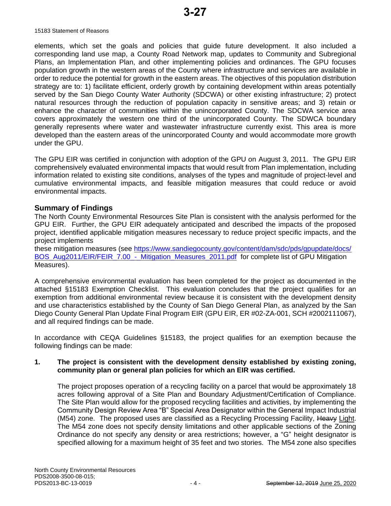elements, which set the goals and policies that guide future development. It also included a corresponding land use map, a County Road Network map, updates to Community and Subregional Plans, an Implementation Plan, and other implementing policies and ordinances. The GPU focuses population growth in the western areas of the County where infrastructure and services are available in order to reduce the potential for growth in the eastern areas. The objectives of this population distribution strategy are to: 1) facilitate efficient, orderly growth by containing development within areas potentially served by the San Diego County Water Authority (SDCWA) or other existing infrastructure; 2) protect natural resources through the reduction of population capacity in sensitive areas; and 3) retain or enhance the character of communities within the unincorporated County. The SDCWA service area covers approximately the western one third of the unincorporated County. The SDWCA boundary generally represents where water and wastewater infrastructure currently exist. This area is more developed than the eastern areas of the unincorporated County and would accommodate more growth under the GPU.

The GPU EIR was certified in conjunction with adoption of the GPU on August 3, 2011. The GPU EIR comprehensively evaluated environmental impacts that would result from Plan implementation, including information related to existing site conditions, analyses of the types and magnitude of project-level and cumulative environmental impacts, and feasible mitigation measures that could reduce or avoid environmental impacts.

#### **Summary of Findings**

The North County Environmental Resources Site Plan is consistent with the analysis performed for the GPU EIR. Further, the GPU EIR adequately anticipated and described the impacts of the proposed project, identified applicable mitigation measures necessary to reduce project specific impacts, and the project implements

these mitigation measures (see [https://www.sandiegocounty.gov/content/dam/sdc/pds/gpupdate/docs/](https://www.sandiegocounty.gov/content/dam/sdc/pds/gpupdate/docs/BOS_Aug2011/EIR/FEIR_7.00_-_Mitigation_Measures_2011.pdf) BOS\_Aug2011/EIR/FEIR\_7.00 - Mitigation\_Measures\_2011.pdf for complete list of GPU Mitigation Measures).

A comprehensive environmental evaluation has been completed for the project as documented in the attached §15183 Exemption Checklist. This evaluation concludes that the project qualifies for an exemption from additional environmental review because it is consistent with the development density and use characteristics established by the County of San Diego General Plan, as analyzed by the San Diego County General Plan Update Final Program EIR (GPU EIR, ER #02-ZA-001, SCH #2002111067), and all required findings can be made.

In accordance with CEQA Guidelines §15183, the project qualifies for an exemption because the following findings can be made:

#### **1. The project is consistent with the development density established by existing zoning, community plan or general plan policies for which an EIR was certified.**

The project proposes operation of a recycling facility on a parcel that would be approximately 18 acres following approval of a Site Plan and Boundary Adjustment/Certification of Compliance. The Site Plan would allow for the proposed recycling facilities and activities, by implementing the Community Design Review Area "B" Special Area Designator within the General Impact Industrial (M54) zone. The proposed uses are classified as a Recycling Processing Facility, Heavy Light. The M54 zone does not specify density limitations and other applicable sections of the Zoning Ordinance do not specify any density or area restrictions; however, a "G" height designator is specified allowing for a maximum height of 35 feet and two stories. The M54 zone also specifies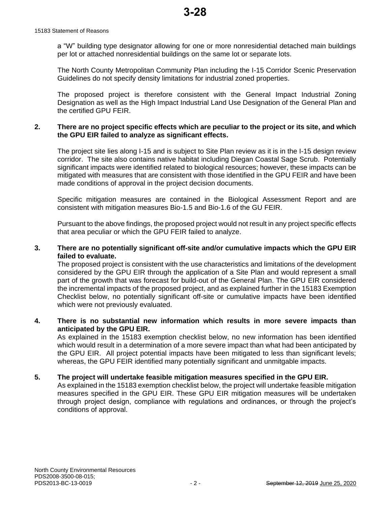a "W" building type designator allowing for one or more nonresidential detached main buildings per lot or attached nonresidential buildings on the same lot or separate lots.

The North County Metropolitan Community Plan including the I-15 Corridor Scenic Preservation Guidelines do not specify density limitations for industrial zoned properties.

The proposed project is therefore consistent with the General Impact Industrial Zoning Designation as well as the High Impact Industrial Land Use Designation of the General Plan and the certified GPU FEIR.

#### **2. There are no project specific effects which are peculiar to the project or its site, and which the GPU EIR failed to analyze as significant effects.**

The project site lies along I-15 and is subject to Site Plan review as it is in the I-15 design review corridor. The site also contains native habitat including Diegan Coastal Sage Scrub. Potentially significant impacts were identified related to biological resources; however, these impacts can be mitigated with measures that are consistent with those identified in the GPU FEIR and have been made conditions of approval in the project decision documents.

Specific mitigation measures are contained in the Biological Assessment Report and are consistent with mitigation measures Bio-1.5 and Bio-1.6 of the GU FEIR.

Pursuant to the above findings, the proposed project would not result in any project specific effects that area peculiar or which the GPU FEIR failed to analyze.

#### **3. There are no potentially significant off-site and/or cumulative impacts which the GPU EIR failed to evaluate.**

The proposed project is consistent with the use characteristics and limitations of the development considered by the GPU EIR through the application of a Site Plan and would represent a small part of the growth that was forecast for build-out of the General Plan. The GPU EIR considered the incremental impacts of the proposed project, and as explained further in the 15183 Exemption Checklist below, no potentially significant off-site or cumulative impacts have been identified which were not previously evaluated.

#### **4. There is no substantial new information which results in more severe impacts than anticipated by the GPU EIR.**

As explained in the 15183 exemption checklist below, no new information has been identified which would result in a determination of a more severe impact than what had been anticipated by the GPU EIR. All project potential impacts have been mitigated to less than significant levels; whereas, the GPU FEIR identified many potentially significant and unmitgable impacts.

#### **5. The project will undertake feasible mitigation measures specified in the GPU EIR.**

As explained in the 15183 exemption checklist below, the project will undertake feasible mitigation measures specified in the GPU EIR. These GPU EIR mitigation measures will be undertaken through project design, compliance with regulations and ordinances, or through the project's conditions of approval.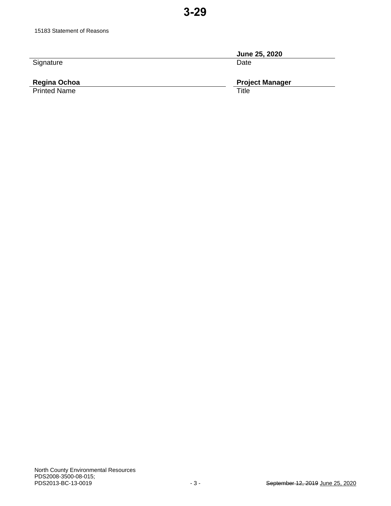|           | June 25, 2020 |
|-----------|---------------|
| Signature | Date          |
|           |               |

# Regina Ochoa<br>Printed Name

**Project Manager**<br>Title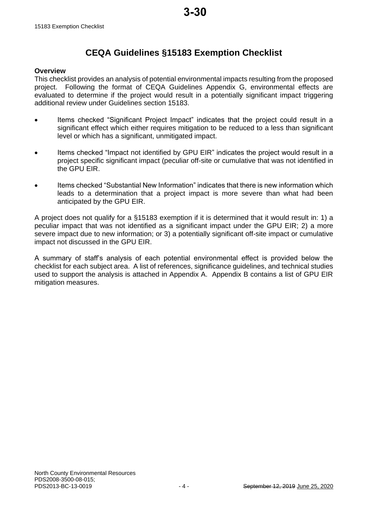# **CEQA Guidelines §15183 Exemption Checklist**

#### **Overview**

This checklist provides an analysis of potential environmental impacts resulting from the proposed project. Following the format of CEQA Guidelines Appendix G, environmental effects are evaluated to determine if the project would result in a potentially significant impact triggering additional review under Guidelines section 15183.

- Items checked "Significant Project Impact" indicates that the project could result in a significant effect which either requires mitigation to be reduced to a less than significant level or which has a significant, unmitigated impact.
- Items checked "Impact not identified by GPU EIR" indicates the project would result in a project specific significant impact (peculiar off-site or cumulative that was not identified in the GPU EIR.
- Items checked "Substantial New Information" indicates that there is new information which leads to a determination that a project impact is more severe than what had been anticipated by the GPU EIR.

A project does not qualify for a §15183 exemption if it is determined that it would result in: 1) a peculiar impact that was not identified as a significant impact under the GPU EIR; 2) a more severe impact due to new information; or 3) a potentially significant off-site impact or cumulative impact not discussed in the GPU EIR.

A summary of staff's analysis of each potential environmental effect is provided below the checklist for each subject area. A list of references, significance guidelines, and technical studies used to support the analysis is attached in Appendix A. Appendix B contains a list of GPU EIR mitigation measures.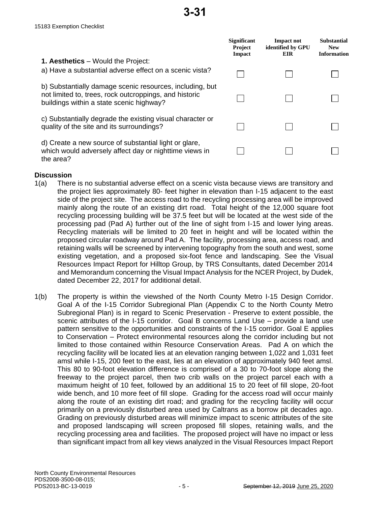|                                                                                                                                                                | <b>Significant</b><br><b>Project</b><br>Impact | <b>Impact not</b><br>identified by GPU<br>EIR. | <b>Substantial</b><br><b>New</b><br><b>Information</b> |
|----------------------------------------------------------------------------------------------------------------------------------------------------------------|------------------------------------------------|------------------------------------------------|--------------------------------------------------------|
| <b>1. Aesthetics</b> – Would the Project:<br>a) Have a substantial adverse effect on a scenic vista?                                                           |                                                |                                                |                                                        |
| b) Substantially damage scenic resources, including, but<br>not limited to, trees, rock outcroppings, and historic<br>buildings within a state scenic highway? |                                                |                                                |                                                        |
| c) Substantially degrade the existing visual character or<br>quality of the site and its surroundings?                                                         |                                                |                                                |                                                        |
| d) Create a new source of substantial light or glare,<br>which would adversely affect day or nighttime views in<br>the area?                                   |                                                |                                                |                                                        |

#### **Discussion**

- 1(a) There is no substantial adverse effect on a scenic vista because views are transitory and the project lies approximately 80- feet higher in elevation than I-15 adjacent to the east side of the project site. The access road to the recycling processing area will be improved mainly along the route of an existing dirt road. Total height of the 12,000 square foot recycling processing building will be 37.5 feet but will be located at the west side of the processing pad (Pad A) further out of the line of sight from I-15 and lower lying areas. Recycling materials will be limited to 20 feet in height and will be located within the proposed circular roadway around Pad A. The facility, processing area, access road, and retaining walls will be screened by intervening topography from the south and west, some existing vegetation, and a proposed six-foot fence and landscaping. See the Visual Resources Impact Report for Hilltop Group, by TRS Consultants, dated December 2014 and Memorandum concerning the Visual Impact Analysis for the NCER Project, by Dudek, dated December 22, 2017 for additional detail.
- 1(b) The property is within the viewshed of the North County Metro I-15 Design Corridor. Goal A of the I-15 Corridor Subregional Plan (Appendix C to the North County Metro Subregional Plan) is in regard to Scenic Preservation - Preserve to extent possible, the scenic attributes of the I-15 corridor. Goal B concerns Land Use – provide a land use pattern sensitive to the opportunities and constraints of the I-15 corridor. Goal E applies to Conservation – Protect environmental resources along the corridor including but not limited to those contained within Resource Conservation Areas. Pad A on which the recycling facility will be located lies at an elevation ranging between 1,022 and 1,031 feet amsl while I-15, 200 feet to the east, lies at an elevation of approximately 940 feet amsl. This 80 to 90-foot elevation difference is comprised of a 30 to 70-foot slope along the freeway to the project parcel, then two crib walls on the project parcel each with a maximum height of 10 feet, followed by an additional 15 to 20 feet of fill slope, 20-foot wide bench, and 10 more feet of fill slope. Grading for the access road will occur mainly along the route of an existing dirt road; and grading for the recycling facility will occur primarily on a previously disturbed area used by Caltrans as a borrow pit decades ago. Grading on previously disturbed areas will minimize impact to scenic attributes of the site and proposed landscaping will screen proposed fill slopes, retaining walls, and the recycling processing area and facilities. The proposed project will have no impact or less than significant impact from all key views analyzed in the Visual Resources Impact Report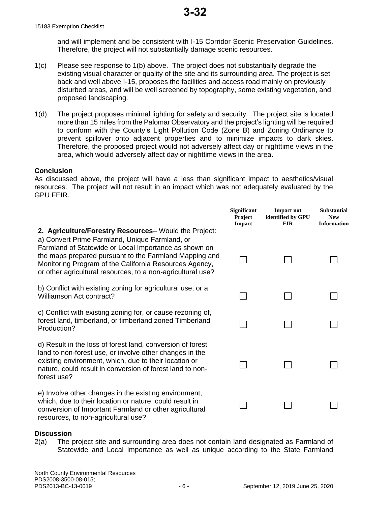15183 Exemption Checklist

and will implement and be consistent with I-15 Corridor Scenic Preservation Guidelines. Therefore, the project will not substantially damage scenic resources.

- 1(c) Please see response to 1(b) above. The project does not substantially degrade the existing visual character or quality of the site and its surrounding area. The project is set back and well above I-15, proposes the facilities and access road mainly on previously disturbed areas, and will be well screened by topography, some existing vegetation, and proposed landscaping.
- 1(d) The project proposes minimal lighting for safety and security. The project site is located more than 15 miles from the Palomar Observatory and the project's lighting will be required to conform with the County's Light Pollution Code (Zone B) and Zoning Ordinance to prevent spillover onto adjacent properties and to minimize impacts to dark skies. Therefore, the proposed project would not adversely affect day or nighttime views in the area, which would adversely affect day or nighttime views in the area.

#### **Conclusion**

As discussed above, the project will have a less than significant impact to aesthetics/visual resources. The project will not result in an impact which was not adequately evaluated by the GPU FEIR.

 $\mathbf{S}$  **Significant** 

**Impact not** 

**Substantial** 

|                                                                                                                                                                                                                                                                                                                                                     | Significant<br>Project<br><b>Impact</b> | <b>Impact not</b><br>identified by GPU<br><b>EIR</b> | Substantial<br><b>New</b><br><b>Information</b> |
|-----------------------------------------------------------------------------------------------------------------------------------------------------------------------------------------------------------------------------------------------------------------------------------------------------------------------------------------------------|-----------------------------------------|------------------------------------------------------|-------------------------------------------------|
| 2. Agriculture/Forestry Resources– Would the Project:<br>a) Convert Prime Farmland, Unique Farmland, or<br>Farmland of Statewide or Local Importance as shown on<br>the maps prepared pursuant to the Farmland Mapping and<br>Monitoring Program of the California Resources Agency,<br>or other agricultural resources, to a non-agricultural use? |                                         |                                                      |                                                 |
| b) Conflict with existing zoning for agricultural use, or a<br>Williamson Act contract?                                                                                                                                                                                                                                                             |                                         |                                                      |                                                 |
| c) Conflict with existing zoning for, or cause rezoning of,<br>forest land, timberland, or timberland zoned Timberland<br>Production?                                                                                                                                                                                                               |                                         |                                                      |                                                 |
| d) Result in the loss of forest land, conversion of forest<br>land to non-forest use, or involve other changes in the<br>existing environment, which, due to their location or<br>nature, could result in conversion of forest land to non-<br>forest use?                                                                                          |                                         |                                                      |                                                 |
| e) Involve other changes in the existing environment,<br>which, due to their location or nature, could result in<br>conversion of Important Farmland or other agricultural<br>resources, to non-agricultural use?                                                                                                                                   |                                         |                                                      |                                                 |

#### **Discussion**

2(a) The project site and surrounding area does not contain land designated as Farmland of Statewide and Local Importance as well as unique according to the State Farmland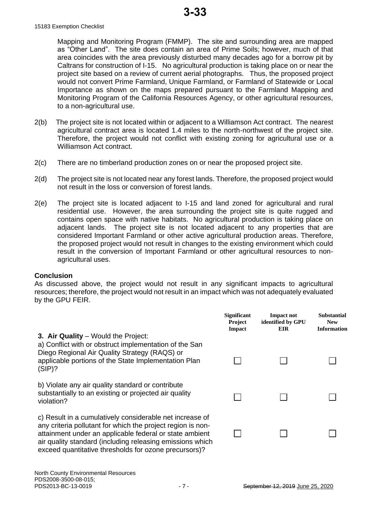Mapping and Monitoring Program (FMMP). The site and surrounding area are mapped as "Other Land". The site does contain an area of Prime Soils; however, much of that area coincides with the area previously disturbed many decades ago for a borrow pit by Caltrans for construction of I-15. No agricultural production is taking place on or near the project site based on a review of current aerial photographs. Thus, the proposed project would not convert Prime Farmland, Unique Farmland, or Farmland of Statewide or Local Importance as shown on the maps prepared pursuant to the Farmland Mapping and Monitoring Program of the California Resources Agency, or other agricultural resources, to a non-agricultural use.

- 2(b) The project site is not located within or adjacent to a Williamson Act contract. The nearest agricultural contract area is located 1.4 miles to the north-northwest of the project site. Therefore, the project would not conflict with existing zoning for agricultural use or a Williamson Act contract.
- 2(c) There are no timberland production zones on or near the proposed project site.
- 2(d) The project site is not located near any forest lands. Therefore, the proposed project would not result in the loss or conversion of forest lands.
- 2(e) The project site is located adjacent to I-15 and land zoned for agricultural and rural residential use. However, the area surrounding the project site is quite rugged and contains open space with native habitats. No agricultural production is taking place on adjacent lands. The project site is not located adjacent to any properties that are considered Important Farmland or other active agricultural production areas. Therefore, the proposed project would not result in changes to the existing environment which could result in the conversion of Important Farmland or other agricultural resources to nonagricultural uses.

#### **Conclusion**

As discussed above, the project would not result in any significant impacts to agricultural resources; therefore, the project would not result in an impact which was not adequately evaluated by the GPU FEIR.

|                                                                                                                                                                                                                                                                                                          | <b>Significant</b><br><b>Project</b><br>Impact | <b>Impact not</b><br>identified by GPU<br><b>EIR</b> | <b>Substantial</b><br><b>New</b><br><b>Information</b> |
|----------------------------------------------------------------------------------------------------------------------------------------------------------------------------------------------------------------------------------------------------------------------------------------------------------|------------------------------------------------|------------------------------------------------------|--------------------------------------------------------|
| 3. Air Quality – Would the Project:<br>a) Conflict with or obstruct implementation of the San<br>Diego Regional Air Quality Strategy (RAQS) or<br>applicable portions of the State Implementation Plan<br>(SIP)?                                                                                         |                                                |                                                      |                                                        |
| b) Violate any air quality standard or contribute<br>substantially to an existing or projected air quality<br>violation?                                                                                                                                                                                 |                                                |                                                      |                                                        |
| c) Result in a cumulatively considerable net increase of<br>any criteria pollutant for which the project region is non-<br>attainment under an applicable federal or state ambient<br>air quality standard (including releasing emissions which<br>exceed quantitative thresholds for ozone precursors)? |                                                |                                                      |                                                        |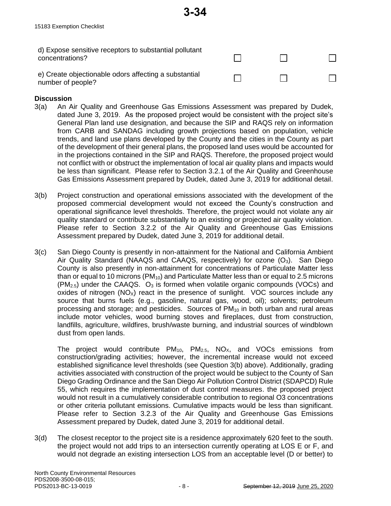| d) Expose sensitive receptors to substantial pollutant<br>concentrations?  |  |  |
|----------------------------------------------------------------------------|--|--|
| e) Create objectionable odors affecting a substantial<br>number of people? |  |  |

**3-34**

#### **Discussion**

- 3(a) An Air Quality and Greenhouse Gas Emissions Assessment was prepared by Dudek, dated June 3, 2019. As the proposed project would be consistent with the project site's General Plan land use designation, and because the SIP and RAQS rely on information from CARB and SANDAG including growth projections based on population, vehicle trends, and land use plans developed by the County and the cities in the County as part of the development of their general plans, the proposed land uses would be accounted for in the projections contained in the SIP and RAQS. Therefore, the proposed project would not conflict with or obstruct the implementation of local air quality plans and impacts would be less than significant. Please refer to Section 3.2.1 of the Air Quality and Greenhouse Gas Emissions Assessment prepared by Dudek, dated June 3, 2019 for additional detail.
- 3(b) Project construction and operational emissions associated with the development of the proposed commercial development would not exceed the County's construction and operational significance level thresholds. Therefore, the project would not violate any air quality standard or contribute substantially to an existing or projected air quality violation. Please refer to Section 3.2.2 of the Air Quality and Greenhouse Gas Emissions Assessment prepared by Dudek, dated June 3, 2019 for additional detail.
- 3(c) San Diego County is presently in non-attainment for the National and California Ambient Air Quality Standard (NAAQS and CAAQS, respectively) for ozone  $(O_3)$ . San Diego County is also presently in non-attainment for concentrations of Particulate Matter less than or equal to 10 microns ( $PM_{10}$ ) and Particulate Matter less than or equal to 2.5 microns  $(PM<sub>2.5</sub>)$  under the CAAQS.  $O<sub>3</sub>$  is formed when volatile organic compounds (VOCs) and oxides of nitrogen  $(NO_x)$  react in the presence of sunlight. VOC sources include any source that burns fuels (e.g., gasoline, natural gas, wood, oil); solvents; petroleum processing and storage; and pesticides. Sources of  $PM_{10}$  in both urban and rural areas include motor vehicles, wood burning stoves and fireplaces, dust from construction, landfills, agriculture, wildfires, brush/waste burning, and industrial sources of windblown dust from open lands.

The project would contribute  $PM_{10}$ ,  $PM_{2.5}$ ,  $NO_{X}$ , and VOCs emissions from construction/grading activities; however, the incremental increase would not exceed established significance level thresholds (see Question 3(b) above). Additionally, grading activities associated with construction of the project would be subject to the County of San Diego Grading Ordinance and the San Diego Air Pollution Control District (SDAPCD) Rule 55, which requires the implementation of dust control measures. the proposed project would not result in a cumulatively considerable contribution to regional O3 concentrations or other criteria pollutant emissions. Cumulative impacts would be less than significant. Please refer to Section 3.2.3 of the Air Quality and Greenhouse Gas Emissions Assessment prepared by Dudek, dated June 3, 2019 for additional detail.

3(d) The closest receptor to the project site is a residence approximately 620 feet to the south. the project would not add trips to an intersection currently operating at LOS E or F, and would not degrade an existing intersection LOS from an acceptable level (D or better) to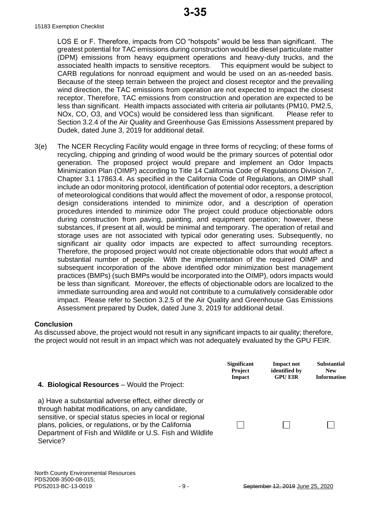LOS E or F. Therefore, impacts from CO "hotspots" would be less than significant. The greatest potential for TAC emissions during construction would be diesel particulate matter (DPM) emissions from heavy equipment operations and heavy-duty trucks, and the associated health impacts to sensitive receptors. This equipment would be subject to CARB regulations for nonroad equipment and would be used on an as-needed basis. Because of the steep terrain between the project and closest receptor and the prevailing wind direction, the TAC emissions from operation are not expected to impact the closest receptor. Therefore, TAC emissions from construction and operation are expected to be less than significant. Health impacts associated with criteria air pollutants (PM10, PM2.5, NOx, CO, O3, and VOCs) would be considered less than significant. Please refer to Section 3.2.4 of the Air Quality and Greenhouse Gas Emissions Assessment prepared by Dudek, dated June 3, 2019 for additional detail.

3(e) The NCER Recycling Facility would engage in three forms of recycling; of these forms of recycling, chipping and grinding of wood would be the primary sources of potential odor generation. The proposed project would prepare and implement an Odor Impacts Minimization Plan (OIMP) according to Title 14 California Code of Regulations Division 7, Chapter 3.1 17863.4. As specified in the California Code of Regulations, an OIMP shall include an odor monitoring protocol, identification of potential odor receptors, a description of meteorological conditions that would affect the movement of odor, a response protocol, design considerations intended to minimize odor, and a description of operation procedures intended to minimize odor The project could produce objectionable odors during construction from paving, painting, and equipment operation; however, these substances, if present at all, would be minimal and temporary. The operation of retail and storage uses are not associated with typical odor generating uses. Subsequently, no significant air quality odor impacts are expected to affect surrounding receptors. Therefore, the proposed project would not create objectionable odors that would affect a substantial number of people. With the implementation of the required OIMP and subsequent incorporation of the above identified odor minimization best management practices (BMPs) (such BMPs would be incorporated into the OIMP), odors impacts would be less than significant. Moreover, the effects of objectionable odors are localized to the immediate surrounding area and would not contribute to a cumulatively considerable odor impact. Please refer to Section 3.2.5 of the Air Quality and Greenhouse Gas Emissions Assessment prepared by Dudek, dated June 3, 2019 for additional detail.

#### **Conclusion**

As discussed above, the project would not result in any significant impacts to air quality; therefore, the project would not result in an impact which was not adequately evaluated by the GPU FEIR.

| 4. Biological Resources – Would the Project:                                                                                                                                                                                                                                                                | <b>Significant</b> | <b>Impact not</b> | <b>Substantial</b> |
|-------------------------------------------------------------------------------------------------------------------------------------------------------------------------------------------------------------------------------------------------------------------------------------------------------------|--------------------|-------------------|--------------------|
|                                                                                                                                                                                                                                                                                                             | <b>Project</b>     | identified by     | <b>New</b>         |
|                                                                                                                                                                                                                                                                                                             | <b>Impact</b>      | <b>GPU EIR</b>    | <b>Information</b> |
| a) Have a substantial adverse effect, either directly or<br>through habitat modifications, on any candidate,<br>sensitive, or special status species in local or regional<br>plans, policies, or regulations, or by the California<br>Department of Fish and Wildlife or U.S. Fish and Wildlife<br>Service? |                    |                   |                    |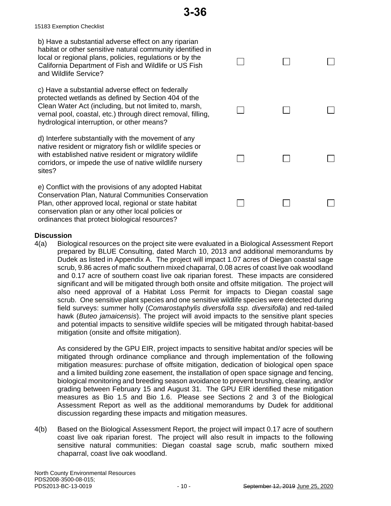15183 Exemption Checklist

b) Have a substantial adverse effect on any riparian habitat or other sensitive natural community identified in local or regional plans, policies, regulations or by the California Department of Fish and Wildlife or US Fish and Wildlife Service?

c) Have a substantial adverse effect on federally protected wetlands as defined by Section 404 of the Clean Water Act (including, but not limited to, marsh, vernal pool, coastal, etc.) through direct removal, filling, hydrological interruption, or other means?

d) Interfere substantially with the movement of any native resident or migratory fish or wildlife species or with established native resident or migratory wildlife corridors, or impede the use of native wildlife nursery sites?

e) Conflict with the provisions of any adopted Habitat Conservation Plan, Natural Communities Conservation Plan, other approved local, regional or state habitat conservation plan or any other local policies or ordinances that protect biological resources?

| $\Box$ |        |          |
|--------|--------|----------|
| $\Box$ | $\Box$ | Ľ٦       |
| $\Box$ | $\Box$ | $\sqcup$ |
|        |        |          |

#### **Discussion**

4(a) Biological resources on the project site were evaluated in a Biological Assessment Report prepared by BLUE Consulting, dated March 10, 2013 and additional memorandums by Dudek as listed in Appendix A. The project will impact 1.07 acres of Diegan coastal sage scrub, 9.86 acres of mafic southern mixed chaparral, 0.08 acres of coast live oak woodland and 0.17 acre of southern coast live oak riparian forest. These impacts are considered significant and will be mitigated through both onsite and offsite mitigation. The project will also need approval of a Habitat Loss Permit for impacts to Diegan coastal sage scrub. One sensitive plant species and one sensitive wildlife species were detected during field surveys: summer holly (*Comarostaphylis diversfolla ssp. diversifolla*) and red-tailed hawk (*Buteo jamaicensis*). The project will avoid impacts to the sensitive plant species and potential impacts to sensitive wildlife species will be mitigated through habitat-based mitigation (onsite and offsite mitigation).

As considered by the GPU EIR, project impacts to sensitive habitat and/or species will be mitigated through ordinance compliance and through implementation of the following mitigation measures: purchase of offsite mitigation, dedication of biological open space and a limited building zone easement, the installation of open space signage and fencing, biological monitoring and breeding season avoidance to prevent brushing, clearing, and/or grading between February 15 and August 31. The GPU EIR identified these mitigation measures as Bio 1.5 and Bio 1.6. Please see Sections 2 and 3 of the Biological Assessment Report as well as the additional memorandums by Dudek for additional discussion regarding these impacts and mitigation measures.

4(b) Based on the Biological Assessment Report, the project will impact 0.17 acre of southern coast live oak riparian forest. The project will also result in impacts to the following sensitive natural communities: Diegan coastal sage scrub, mafic southern mixed chaparral, coast live oak woodland.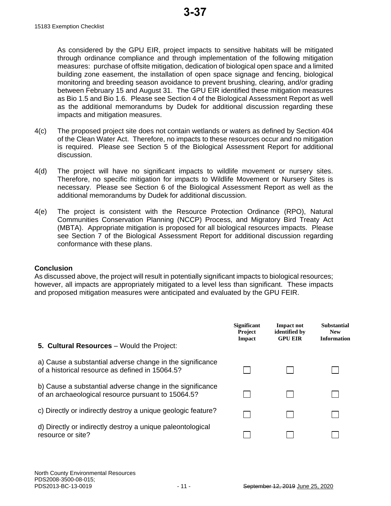As considered by the GPU EIR, project impacts to sensitive habitats will be mitigated through ordinance compliance and through implementation of the following mitigation measures: purchase of offsite mitigation, dedication of biological open space and a limited building zone easement, the installation of open space signage and fencing, biological monitoring and breeding season avoidance to prevent brushing, clearing, and/or grading between February 15 and August 31. The GPU EIR identified these mitigation measures as Bio 1.5 and Bio 1.6. Please see Section 4 of the Biological Assessment Report as well as the additional memorandums by Dudek for additional discussion regarding these impacts and mitigation measures.

- 4(c) The proposed project site does not contain wetlands or waters as defined by Section 404 of the Clean Water Act. Therefore, no impacts to these resources occur and no mitigation is required. Please see Section 5 of the Biological Assessment Report for additional discussion.
- 4(d) The project will have no significant impacts to wildlife movement or nursery sites. Therefore, no specific mitigation for impacts to Wildlife Movement or Nursery Sites is necessary. Please see Section 6 of the Biological Assessment Report as well as the additional memorandums by Dudek for additional discussion.
- 4(e) The project is consistent with the Resource Protection Ordinance (RPO), Natural Communities Conservation Planning (NCCP) Process, and Migratory Bird Treaty Act (MBTA). Appropriate mitigation is proposed for all biological resources impacts. Please see Section 7 of the Biological Assessment Report for additional discussion regarding conformance with these plans.

#### **Conclusion**

As discussed above, the project will result in potentially significant impacts to biological resources; however, all impacts are appropriately mitigated to a level less than significant. These impacts and proposed mitigation measures were anticipated and evaluated by the GPU FEIR.

| 5. Cultural Resources - Would the Project:                                                                      | <b>Significant</b><br><b>Project</b><br>Impact | Impact not<br>identified by<br><b>GPU EIR</b> | <b>Substantial</b><br><b>New</b><br><b>Information</b> |
|-----------------------------------------------------------------------------------------------------------------|------------------------------------------------|-----------------------------------------------|--------------------------------------------------------|
| a) Cause a substantial adverse change in the significance<br>of a historical resource as defined in 15064.5?    |                                                |                                               |                                                        |
| b) Cause a substantial adverse change in the significance<br>of an archaeological resource pursuant to 15064.5? |                                                |                                               |                                                        |
| c) Directly or indirectly destroy a unique geologic feature?                                                    |                                                |                                               |                                                        |
| d) Directly or indirectly destroy a unique paleontological<br>resource or site?                                 |                                                |                                               |                                                        |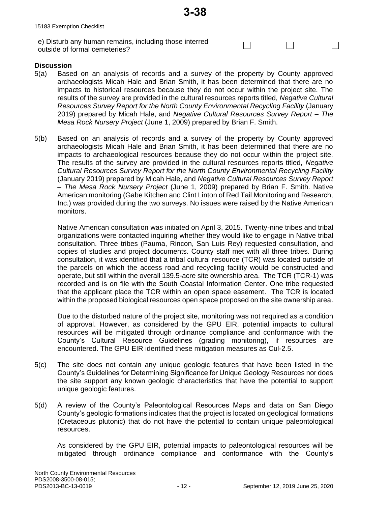$\Box$ 

 $\Box$ 

 $\Box$ 

e) Disturb any human remains, including those interred outside of formal cemeteries?

#### **Discussion**

- 5(a) Based on an analysis of records and a survey of the property by County approved archaeologists Micah Hale and Brian Smith, it has been determined that there are no impacts to historical resources because they do not occur within the project site. The results of the survey are provided in the cultural resources reports titled, *Negative Cultural Resources Survey Report for the North County Environmental Recycling Facility* (January 2019) prepared by Micah Hale, and *Negative Cultural Resources Survey Report – The Mesa Rock Nursery Project* (June 1, 2009) prepared by Brian F. Smith.
- 5(b) Based on an analysis of records and a survey of the property by County approved archaeologists Micah Hale and Brian Smith, it has been determined that there are no impacts to archaeological resources because they do not occur within the project site. The results of the survey are provided in the cultural resources reports titled, *Negative Cultural Resources Survey Report for the North County Environmental Recycling Facility*  (January 2019) prepared by Micah Hale, and *Negative Cultural Resources Survey Report – The Mesa Rock Nursery Project* (June 1, 2009) prepared by Brian F. Smith. Native American monitoring (Gabe Kitchen and Clint Linton of Red Tail Monitoring and Research, Inc.) was provided during the two surveys. No issues were raised by the Native American monitors.

Native American consultation was initiated on April 3, 2015. Twenty-nine tribes and tribal organizations were contacted inquiring whether they would like to engage in Native tribal consultation. Three tribes (Pauma, Rincon, San Luis Rey) requested consultation, and copies of studies and project documents. County staff met with all three tribes. During consultation, it was identified that a tribal cultural resource (TCR) was located outside of the parcels on which the access road and recycling facility would be constructed and operate, but still within the overall 139.5-acre site ownership area. The TCR (TCR-1) was recorded and is on file with the South Coastal Information Center. One tribe requested that the applicant place the TCR within an open space easement. The TCR is located within the proposed biological resources open space proposed on the site ownership area.

Due to the disturbed nature of the project site, monitoring was not required as a condition of approval. However, as considered by the GPU EIR, potential impacts to cultural resources will be mitigated through ordinance compliance and conformance with the County's Cultural Resource Guidelines (grading monitoring), if resources are encountered. The GPU EIR identified these mitigation measures as Cul-2.5.

- 5(c) The site does not contain any unique geologic features that have been listed in the County's Guidelines for Determining Significance for Unique Geology Resources nor does the site support any known geologic characteristics that have the potential to support unique geologic features.
- 5(d) A review of the County's Paleontological Resources Maps and data on San Diego County's geologic formations indicates that the project is located on geological formations (Cretaceous plutonic) that do not have the potential to contain unique paleontological resources.

As considered by the GPU EIR, potential impacts to paleontological resources will be mitigated through ordinance compliance and conformance with the County's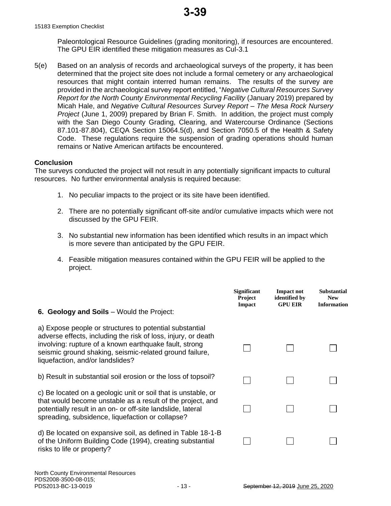Paleontological Resource Guidelines (grading monitoring), if resources are encountered. The GPU EIR identified these mitigation measures as Cul-3.1

5(e) Based on an analysis of records and archaeological surveys of the property, it has been determined that the project site does not include a formal cemetery or any archaeological resources that might contain interred human remains. The results of the survey are provided in the archaeological survey report entitled, "*Negative Cultural Resources Survey Report for the North County Environmental Recycling Facility* (January 2019) prepared by Micah Hale, and *Negative Cultural Resources Survey Report – The Mesa Rock Nursery Project* (June 1, 2009) prepared by Brian F. Smith. In addition, the project must comply with the San Diego County Grading, Clearing, and Watercourse Ordinance (Sections 87.101-87.804), CEQA Section 15064.5(d), and Section 7050.5 of the Health & Safety Code. These regulations require the suspension of grading operations should human remains or Native American artifacts be encountered.

#### **Conclusion**

The surveys conducted the project will not result in any potentially significant impacts to cultural resources. No further environmental analysis is required because:

- 1. No peculiar impacts to the project or its site have been identified.
- 2. There are no potentially significant off-site and/or cumulative impacts which were not discussed by the GPU FEIR.
- 3. No substantial new information has been identified which results in an impact which is more severe than anticipated by the GPU FEIR.
- 4. Feasible mitigation measures contained within the GPU FEIR will be applied to the project.

| <b>6. Geology and Soils</b> – Would the Project:                                                                                                                                                                                                                                  | <b>Significant</b><br><b>Project</b><br><b>Impact</b> | <b>Impact not</b><br>identified by<br><b>GPU EIR</b> | <b>Substantial</b><br><b>New</b><br><b>Information</b> |
|-----------------------------------------------------------------------------------------------------------------------------------------------------------------------------------------------------------------------------------------------------------------------------------|-------------------------------------------------------|------------------------------------------------------|--------------------------------------------------------|
| a) Expose people or structures to potential substantial<br>adverse effects, including the risk of loss, injury, or death<br>involving: rupture of a known earthquake fault, strong<br>seismic ground shaking, seismic-related ground failure,<br>liquefaction, and/or landslides? |                                                       |                                                      |                                                        |
| b) Result in substantial soil erosion or the loss of topsoil?                                                                                                                                                                                                                     |                                                       |                                                      |                                                        |
| c) Be located on a geologic unit or soil that is unstable, or<br>that would become unstable as a result of the project, and<br>potentially result in an on- or off-site landslide, lateral<br>spreading, subsidence, liquefaction or collapse?                                    |                                                       |                                                      |                                                        |
| d) Be located on expansive soil, as defined in Table 18-1-B<br>of the Uniform Building Code (1994), creating substantial<br>risks to life or property?                                                                                                                            |                                                       |                                                      |                                                        |
|                                                                                                                                                                                                                                                                                   |                                                       |                                                      |                                                        |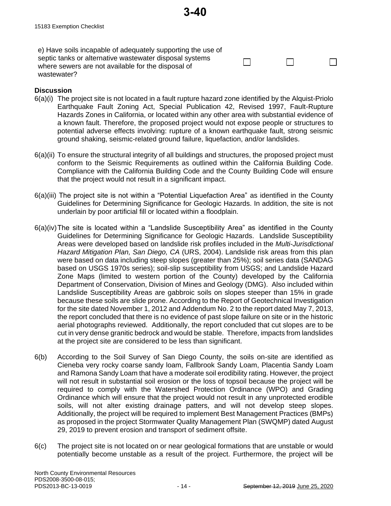e) Have soils incapable of adequately supporting the use of septic tanks or alternative wastewater disposal systems where sewers are not available for the disposal of wastewater?

# **Discussion**

6(a)(i) The project site is not located in a fault rupture hazard zone identified by the Alquist-Priolo Earthquake Fault Zoning Act, Special Publication 42, Revised 1997, Fault-Rupture Hazards Zones in California, or located within any other area with substantial evidence of a known fault. Therefore, the proposed project would not expose people or structures to potential adverse effects involving: rupture of a known earthquake fault, strong seismic ground shaking, seismic-related ground failure, liquefaction, and/or landslides.

**3-40**

- 6(a)(ii) To ensure the structural integrity of all buildings and structures, the proposed project must conform to the Seismic Requirements as outlined within the California Building Code. Compliance with the California Building Code and the County Building Code will ensure that the project would not result in a significant impact.
- 6(a)(iii) The project site is not within a "Potential Liquefaction Area" as identified in the County Guidelines for Determining Significance for Geologic Hazards. In addition, the site is not underlain by poor artificial fill or located within a floodplain.
- 6(a)(iv)The site is located within a "Landslide Susceptibility Area" as identified in the County Guidelines for Determining Significance for Geologic Hazards. Landslide Susceptibility Areas were developed based on landslide risk profiles included in the *Multi-Jurisdictional Hazard Mitigation Plan, San Diego, CA* (URS, 2004). Landslide risk areas from this plan were based on data including steep slopes (greater than 25%); soil series data (SANDAG based on USGS 1970s series); soil-slip susceptibility from USGS; and Landslide Hazard Zone Maps (limited to western portion of the County) developed by the California Department of Conservation, Division of Mines and Geology (DMG). Also included within Landslide Susceptibility Areas are gabbroic soils on slopes steeper than 15% in grade because these soils are slide prone. According to the Report of Geotechnical Investigation for the site dated November 1, 2012 and Addendum No. 2 to the report dated May 7, 2013, the report concluded that there is no evidence of past slope failure on site or in the historic aerial photographs reviewed. Additionally, the report concluded that cut slopes are to be cut in very dense granitic bedrock and would be stable. Therefore, impacts from landslides at the project site are considered to be less than significant.
- 6(b) According to the Soil Survey of San Diego County, the soils on-site are identified as Cieneba very rocky coarse sandy loam, Fallbrook Sandy Loam, Placentia Sandy Loam and Ramona Sandy Loam that have a moderate soil erodibility rating. However, the project will not result in substantial soil erosion or the loss of topsoil because the project will be required to comply with the Watershed Protection Ordinance (WPO) and Grading Ordinance which will ensure that the project would not result in any unprotected erodible soils, will not alter existing drainage patters, and will not develop steep slopes. Additionally, the project will be required to implement Best Management Practices (BMPs) as proposed in the project Stormwater Quality Management Plan (SWQMP) dated August 29, 2019 to prevent erosion and transport of sediment offsite.
- 6(c) The project site is not located on or near geological formations that are unstable or would potentially become unstable as a result of the project. Furthermore, the project will be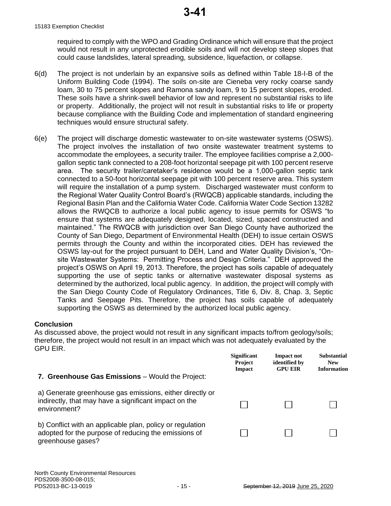required to comply with the WPO and Grading Ordinance which will ensure that the project would not result in any unprotected erodible soils and will not develop steep slopes that could cause landslides, lateral spreading, subsidence, liquefaction, or collapse.

- 6(d) The project is not underlain by an expansive soils as defined within Table 18-I-B of the Uniform Building Code (1994). The soils on-site are Cieneba very rocky coarse sandy loam, 30 to 75 percent slopes and Ramona sandy loam, 9 to 15 percent slopes, eroded. These soils have a shrink-swell behavior of low and represent no substantial risks to life or property. Additionally, the project will not result in substantial risks to life or property because compliance with the Building Code and implementation of standard engineering techniques would ensure structural safety.
- 6(e) The project will discharge domestic wastewater to on-site wastewater systems (OSWS). The project involves the installation of two onsite wastewater treatment systems to accommodate the employees, a security trailer. The employee facilities comprise a 2,000 gallon septic tank connected to a 208-foot horizontal seepage pit with 100 percent reserve area. The security trailer/caretaker's residence would be a 1,000-gallon septic tank connected to a 50-foot horizontal seepage pit with 100 percent reserve area. This system will require the installation of a pump system. Discharged wastewater must conform to the Regional Water Quality Control Board's (RWQCB) applicable standards, including the Regional Basin Plan and the California Water Code. California Water Code Section 13282 allows the RWQCB to authorize a local public agency to issue permits for OSWS "to ensure that systems are adequately designed, located, sized, spaced constructed and maintained." The RWQCB with jurisdiction over San Diego County have authorized the County of San Diego, Department of Environmental Health (DEH) to issue certain OSWS permits through the County and within the incorporated cities. DEH has reviewed the OSWS lay-out for the project pursuant to DEH, Land and Water Quality Division's, "Onsite Wastewater Systems: Permitting Process and Design Criteria." DEH approved the project's OSWS on April 19, 2013. Therefore, the project has soils capable of adequately supporting the use of septic tanks or alternative wastewater disposal systems as determined by the authorized, local public agency. In addition, the project will comply with the San Diego County Code of Regulatory Ordinances, Title 6, Div. 8, Chap. 3, Septic Tanks and Seepage Pits. Therefore, the project has soils capable of adequately supporting the OSWS as determined by the authorized local public agency.

#### **Conclusion**

As discussed above, the project would not result in any significant impacts to/from geology/soils; therefore, the project would not result in an impact which was not adequately evaluated by the GPU EIR.

|                                                                                                                                        | <b>Significant</b><br><b>Project</b><br>Impact | <b>Impact not</b><br>identified by<br><b>GPU EIR</b> | <b>Substantial</b><br><b>New</b><br><b>Information</b> |
|----------------------------------------------------------------------------------------------------------------------------------------|------------------------------------------------|------------------------------------------------------|--------------------------------------------------------|
| 7. Greenhouse Gas Emissions - Would the Project:                                                                                       |                                                |                                                      |                                                        |
| a) Generate greenhouse gas emissions, either directly or<br>indirectly, that may have a significant impact on the<br>environment?      |                                                |                                                      |                                                        |
| b) Conflict with an applicable plan, policy or regulation<br>adopted for the purpose of reducing the emissions of<br>greenhouse gases? |                                                |                                                      |                                                        |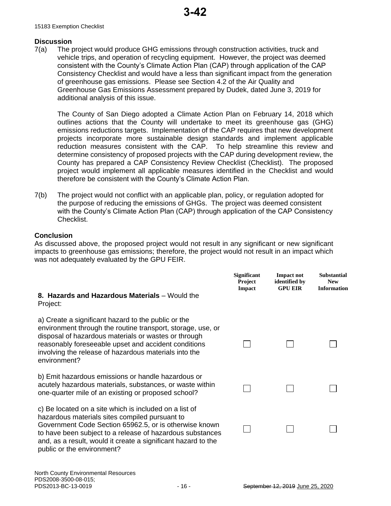#### **Discussion**

7(a) The project would produce GHG emissions through construction activities, truck and vehicle trips, and operation of recycling equipment. However, the project was deemed consistent with the County's Climate Action Plan (CAP) through application of the CAP Consistency Checklist and would have a less than significant impact from the generation of greenhouse gas emissions. Please see Section 4.2 of the Air Quality and Greenhouse Gas Emissions Assessment prepared by Dudek, dated June 3, 2019 for additional analysis of this issue.

The County of San Diego adopted a Climate Action Plan on February 14, 2018 which outlines actions that the County will undertake to meet its greenhouse gas (GHG) emissions reductions targets. Implementation of the CAP requires that new development projects incorporate more sustainable design standards and implement applicable reduction measures consistent with the CAP. To help streamline this review and determine consistency of proposed projects with the CAP during development review, the County has prepared a CAP Consistency Review Checklist (Checklist). The proposed project would implement all applicable measures identified in the Checklist and would therefore be consistent with the County's Climate Action Plan.

7(b) The project would not conflict with an applicable plan, policy, or regulation adopted for the purpose of reducing the emissions of GHGs. The project was deemed consistent with the County's Climate Action Plan (CAP) through application of the CAP Consistency Checklist.

#### **Conclusion**

As discussed above, the proposed project would not result in any significant or new significant impacts to greenhouse gas emissions; therefore, the project would not result in an impact which was not adequately evaluated by the GPU FEIR.

| 8. Hazards and Hazardous Materials - Would the<br>Project:                                                                                                                                                                                                                                                                     | <b>Significant</b><br><b>Project</b><br>Impact | <b>Impact not</b><br>identified by<br><b>GPU EIR</b> | <b>Substantial</b><br><b>New</b><br><b>Information</b> |
|--------------------------------------------------------------------------------------------------------------------------------------------------------------------------------------------------------------------------------------------------------------------------------------------------------------------------------|------------------------------------------------|------------------------------------------------------|--------------------------------------------------------|
| a) Create a significant hazard to the public or the<br>environment through the routine transport, storage, use, or<br>disposal of hazardous materials or wastes or through<br>reasonably foreseeable upset and accident conditions<br>involving the release of hazardous materials into the<br>environment?                    |                                                |                                                      |                                                        |
| b) Emit hazardous emissions or handle hazardous or<br>acutely hazardous materials, substances, or waste within<br>one-quarter mile of an existing or proposed school?                                                                                                                                                          |                                                |                                                      |                                                        |
| c) Be located on a site which is included on a list of<br>hazardous materials sites compiled pursuant to<br>Government Code Section 65962.5, or is otherwise known<br>to have been subject to a release of hazardous substances<br>and, as a result, would it create a significant hazard to the<br>public or the environment? |                                                |                                                      |                                                        |
|                                                                                                                                                                                                                                                                                                                                |                                                |                                                      |                                                        |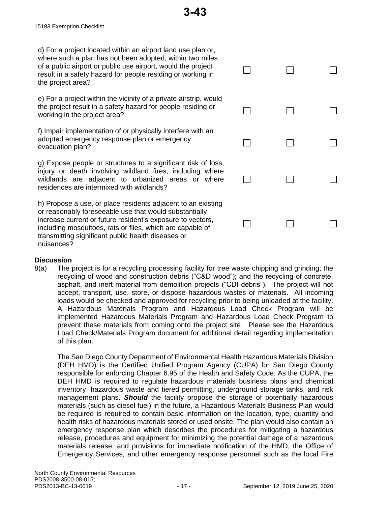d) For a project located within an airport land use plan or, where such a plan has not been adopted, within two miles of a public airport or public use airport, would the project result in a safety hazard for people residing or working in the project area?

e) For a project within the vicinity of a private airstrip, would the project result in a safety hazard for people residing or working in the project area?

f) Impair implementation of or physically interfere with an adopted emergency response plan or emergency evacuation plan?

g) Expose people or structures to a significant risk of loss injury or death involving wildland fires, including where wildlands are adjacent to urbanized areas or where residences are intermixed with wildlands?

h) Propose a use, or place residents adjacent to an existing or reasonably foreseeable use that would substantially increase current or future resident's exposure to vectors, including mosquitoes, rats or flies, which are capable of transmitting significant public health diseases or nuisances?

|         | $\Box$ | $\Box$ | $\Box$                  |
|---------|--------|--------|-------------------------|
| ł       | $\Box$ | $\Box$ | $\Box$                  |
|         | $\Box$ | $\Box$ | Ľ                       |
| s,<br>e | $\Box$ | $\Box$ | $\Box$                  |
| J       |        |        |                         |
|         | $\Box$ | $\Box$ | $\overline{\mathsf{L}}$ |

# **Discussion**

8(a) The project is for a recycling processing facility for tree waste chipping and grinding; the recycling of wood and construction debris ("C&D wood"); and the recycling of concrete, asphalt, and inert material from demolition projects ("CDI debris"). The project will not accept, transport, use, store, or dispose hazardous wastes or materials. All incoming loads would be checked and approved for recycling prior to being unloaded at the facility. A Hazardous Materials Program and Hazardous Load Check Program will be implemented Hazardous Materials Program and Hazardous Load Check Program to prevent these materials from coming onto the project site. Please see the Hazardous Load Check/Materials Program document for additional detail regarding implementation of this plan.

The San Diego County Department of Environmental Health Hazardous Materials Division (DEH HMD) is the Certified Unified Program Agency (CUPA) for San Diego County responsible for enforcing Chapter 6.95 of the Health and Safety Code. As the CUPA, the DEH HMD is required to regulate hazardous materials business plans and chemical inventory, hazardous waste and tiered permitting, underground storage tanks, and risk management plans. *Should* the facility propose the storage of potentially hazardous materials (such as diesel fuel) in the future, a Hazardous Materials Business Plan would be required is required to contain basic information on the location, type, quantity and health risks of hazardous materials stored or used onsite. The plan would also contain an emergency response plan which describes the procedures for mitigating a hazardous release, procedures and equipment for minimizing the potential damage of a hazardous materials release, and provisions for immediate notification of the HMD, the Office of Emergency Services, and other emergency response personnel such as the local Fire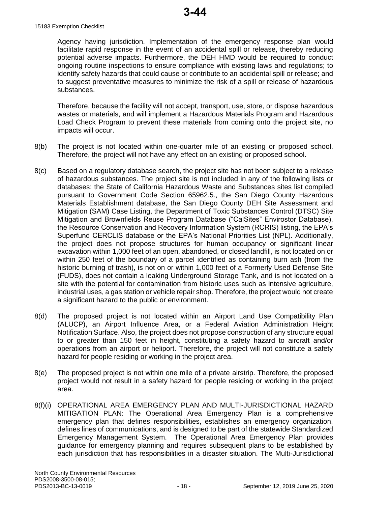#### 15183 Exemption Checklist

Agency having jurisdiction. Implementation of the emergency response plan would facilitate rapid response in the event of an accidental spill or release, thereby reducing potential adverse impacts. Furthermore, the DEH HMD would be required to conduct ongoing routine inspections to ensure compliance with existing laws and regulations; to identify safety hazards that could cause or contribute to an accidental spill or release; and to suggest preventative measures to minimize the risk of a spill or release of hazardous substances.

Therefore, because the facility will not accept, transport, use, store, or dispose hazardous wastes or materials, and will implement a Hazardous Materials Program and Hazardous Load Check Program to prevent these materials from coming onto the project site, no impacts will occur.

- 8(b) The project is not located within one-quarter mile of an existing or proposed school. Therefore, the project will not have any effect on an existing or proposed school.
- 8(c) Based on a regulatory database search, the project site has not been subject to a release of hazardous substances. The project site is not included in any of the following lists or databases: the State of California Hazardous Waste and Substances sites list compiled pursuant to Government Code Section 65962.5., the San Diego County Hazardous Materials Establishment database, the San Diego County DEH Site Assessment and Mitigation (SAM) Case Listing, the Department of Toxic Substances Control (DTSC) Site Mitigation and Brownfields Reuse Program Database ("CalSites" Envirostor Database), the Resource Conservation and Recovery Information System (RCRIS) listing, the EPA's Superfund CERCLIS database or the EPA's National Priorities List (NPL). Additionally, the project does not propose structures for human occupancy or significant linear excavation within 1,000 feet of an open, abandoned, or closed landfill, is not located on or within 250 feet of the boundary of a parcel identified as containing burn ash (from the historic burning of trash), is not on or within 1,000 feet of a Formerly Used Defense Site (FUDS), does not contain a leaking Underground Storage Tank**,** and is not located on a site with the potential for contamination from historic uses such as intensive agriculture, industrial uses, a gas station or vehicle repair shop. Therefore, the project would not create a significant hazard to the public or environment.
- 8(d) The proposed project is not located within an Airport Land Use Compatibility Plan (ALUCP), an Airport Influence Area, or a Federal Aviation Administration Height Notification Surface. Also, the project does not propose construction of any structure equal to or greater than 150 feet in height, constituting a safety hazard to aircraft and/or operations from an airport or heliport. Therefore, the project will not constitute a safety hazard for people residing or working in the project area.
- 8(e) The proposed project is not within one mile of a private airstrip. Therefore, the proposed project would not result in a safety hazard for people residing or working in the project area.
- 8(f)(i) OPERATIONAL AREA EMERGENCY PLAN AND MULTI-JURISDICTIONAL HAZARD MITIGATION PLAN: The Operational Area Emergency Plan is a comprehensive emergency plan that defines responsibilities, establishes an emergency organization, defines lines of communications, and is designed to be part of the statewide Standardized Emergency Management System. The Operational Area Emergency Plan provides guidance for emergency planning and requires subsequent plans to be established by each jurisdiction that has responsibilities in a disaster situation. The Multi-Jurisdictional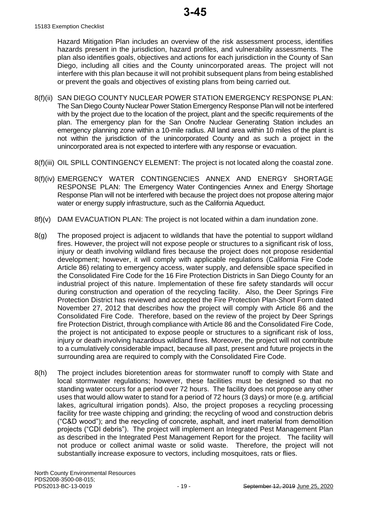Hazard Mitigation Plan includes an overview of the risk assessment process, identifies hazards present in the jurisdiction, hazard profiles, and vulnerability assessments. The plan also identifies goals, objectives and actions for each jurisdiction in the County of San Diego, including all cities and the County unincorporated areas. The project will not interfere with this plan because it will not prohibit subsequent plans from being established or prevent the goals and objectives of existing plans from being carried out.

- 8(f)(ii) SAN DIEGO COUNTY NUCLEAR POWER STATION EMERGENCY RESPONSE PLAN: The San Diego County Nuclear Power Station Emergency Response Plan will not be interfered with by the project due to the location of the project, plant and the specific requirements of the plan. The emergency plan for the San Onofre Nuclear Generating Station includes an emergency planning zone within a 10-mile radius. All land area within 10 miles of the plant is not within the jurisdiction of the unincorporated County and as such a project in the unincorporated area is not expected to interfere with any response or evacuation.
- 8(f)(iii) OIL SPILL CONTINGENCY ELEMENT: The project is not located along the coastal zone.
- 8(f)(iv) EMERGENCY WATER CONTINGENCIES ANNEX AND ENERGY SHORTAGE RESPONSE PLAN: The Emergency Water Contingencies Annex and Energy Shortage Response Plan will not be interfered with because the project does not propose altering major water or energy supply infrastructure, such as the California Aqueduct.
- 8f)(v) DAM EVACUATION PLAN: The project is not located within a dam inundation zone.
- 8(g) The proposed project is adjacent to wildlands that have the potential to support wildland fires. However, the project will not expose people or structures to a significant risk of loss, injury or death involving wildland fires because the project does not propose residential development; however, it will comply with applicable regulations (California Fire Code Article 86) relating to emergency access, water supply, and defensible space specified in the Consolidated Fire Code for the 16 Fire Protection Districts in San Diego County for an industrial project of this nature. Implementation of these fire safety standards will occur during construction and operation of the recycling facility. Also, the Deer Springs Fire Protection District has reviewed and accepted the Fire Protection Plan-Short Form dated November 27, 2012 that describes how the project will comply with Article 86 and the Consolidated Fire Code. Therefore, based on the review of the project by Deer Springs fire Protection District, through compliance with Article 86 and the Consolidated Fire Code, the project is not anticipated to expose people or structures to a significant risk of loss, injury or death involving hazardous wildland fires. Moreover, the project will not contribute to a cumulatively considerable impact, because all past, present and future projects in the surrounding area are required to comply with the Consolidated Fire Code.
- 8(h) The project includes bioretention areas for stormwater runoff to comply with State and local stormwater regulations; however, these facilities must be designed so that no standing water occurs for a period over 72 hours. The facility does not propose any other uses that would allow water to stand for a period of 72 hours (3 days) or more (e.g. artificial lakes, agricultural irrigation ponds). Also, the project proposes a recycling processing facility for tree waste chipping and grinding; the recycling of wood and construction debris ("C&D wood"); and the recycling of concrete, asphalt, and inert material from demolition projects ("CDI debris"). The project will implement an Integrated Pest Management Plan as described in the Integrated Pest Management Report for the project. The facility will not produce or collect animal waste or solid waste. Therefore, the project will not substantially increase exposure to vectors, including mosquitoes, rats or flies.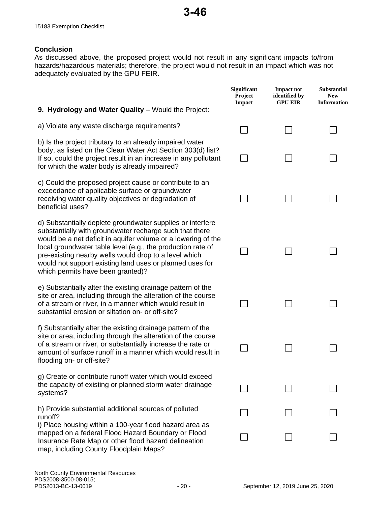# **Conclusion**

As discussed above, the proposed project would not result in any significant impacts to/from hazards/hazardous materials; therefore, the project would not result in an impact which was not adequately evaluated by the GPU FEIR.

|                                                                                                                                                                                                                                                                                                                                                                                                                 | Significant<br>Project<br><b>Impact</b> | <b>Impact not</b><br>identified by<br><b>GPU EIR</b> | Substantial<br><b>New</b><br><b>Information</b> |
|-----------------------------------------------------------------------------------------------------------------------------------------------------------------------------------------------------------------------------------------------------------------------------------------------------------------------------------------------------------------------------------------------------------------|-----------------------------------------|------------------------------------------------------|-------------------------------------------------|
| 9. Hydrology and Water Quality - Would the Project:                                                                                                                                                                                                                                                                                                                                                             |                                         |                                                      |                                                 |
| a) Violate any waste discharge requirements?                                                                                                                                                                                                                                                                                                                                                                    |                                         |                                                      |                                                 |
| b) Is the project tributary to an already impaired water<br>body, as listed on the Clean Water Act Section 303(d) list?<br>If so, could the project result in an increase in any pollutant<br>for which the water body is already impaired?                                                                                                                                                                     |                                         |                                                      |                                                 |
| c) Could the proposed project cause or contribute to an<br>exceedance of applicable surface or groundwater<br>receiving water quality objectives or degradation of<br>beneficial uses?                                                                                                                                                                                                                          |                                         |                                                      |                                                 |
| d) Substantially deplete groundwater supplies or interfere<br>substantially with groundwater recharge such that there<br>would be a net deficit in aquifer volume or a lowering of the<br>local groundwater table level (e.g., the production rate of<br>pre-existing nearby wells would drop to a level which<br>would not support existing land uses or planned uses for<br>which permits have been granted)? |                                         |                                                      |                                                 |
| e) Substantially alter the existing drainage pattern of the<br>site or area, including through the alteration of the course<br>of a stream or river, in a manner which would result in<br>substantial erosion or siltation on- or off-site?                                                                                                                                                                     |                                         |                                                      |                                                 |
| f) Substantially alter the existing drainage pattern of the<br>site or area, including through the alteration of the course<br>of a stream or river, or substantially increase the rate or<br>amount of surface runoff in a manner which would result in<br>flooding on- or off-site?                                                                                                                           |                                         |                                                      |                                                 |
| g) Create or contribute runoff water which would exceed<br>the capacity of existing or planned storm water drainage<br>systems?                                                                                                                                                                                                                                                                                 |                                         |                                                      |                                                 |
| h) Provide substantial additional sources of polluted<br>runoff?                                                                                                                                                                                                                                                                                                                                                |                                         |                                                      |                                                 |
| i) Place housing within a 100-year flood hazard area as<br>mapped on a federal Flood Hazard Boundary or Flood<br>Insurance Rate Map or other flood hazard delineation<br>map, including County Floodplain Maps?                                                                                                                                                                                                 |                                         |                                                      |                                                 |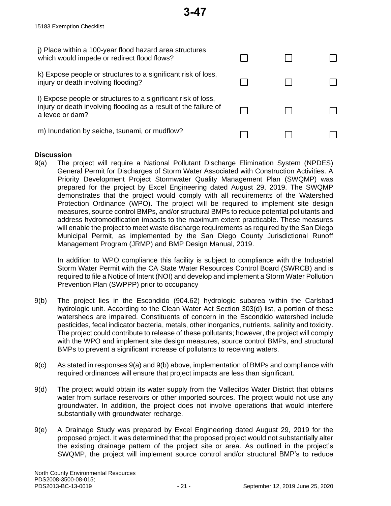| j) Place within a 100-year flood hazard area structures<br>which would impede or redirect flood flows?                                               |  |  |
|------------------------------------------------------------------------------------------------------------------------------------------------------|--|--|
| k) Expose people or structures to a significant risk of loss,<br>injury or death involving flooding?                                                 |  |  |
| I) Expose people or structures to a significant risk of loss,<br>injury or death involving flooding as a result of the failure of<br>a levee or dam? |  |  |
| m) Inundation by seiche, tsunami, or mudflow?                                                                                                        |  |  |

**3-47**

#### **Discussion**

9(a) The project will require a National Pollutant Discharge Elimination System (NPDES) General Permit for Discharges of Storm Water Associated with Construction Activities. A Priority Development Project Stormwater Quality Management Plan (SWQMP) was prepared for the project by Excel Engineering dated August 29, 2019. The SWQMP demonstrates that the project would comply with all requirements of the Watershed Protection Ordinance (WPO). The project will be required to implement site design measures, source control BMPs, and/or structural BMPs to reduce potential pollutants and address hydromodification impacts to the maximum extent practicable. These measures will enable the project to meet waste discharge requirements as required by the San Diego Municipal Permit, as implemented by the San Diego County Jurisdictional Runoff Management Program (JRMP) and BMP Design Manual, 2019.

In addition to WPO compliance this facility is subject to compliance with the Industrial Storm Water Permit with the CA State Water Resources Control Board (SWRCB) and is required to file a Notice of Intent (NOI) and develop and implement a Storm Water Pollution Prevention Plan (SWPPP) prior to occupancy

- 9(b) The project lies in the Escondido (904.62) hydrologic subarea within the Carlsbad hydrologic unit. According to the Clean Water Act Section 303(d) list, a portion of these watersheds are impaired. Constituents of concern in the Escondido watershed include pesticides, fecal indicator bacteria, metals, other inorganics, nutrients, salinity and toxicity. The project could contribute to release of these pollutants; however, the project will comply with the WPO and implement site design measures, source control BMPs, and structural BMPs to prevent a significant increase of pollutants to receiving waters.
- 9(c) As stated in responses 9(a) and 9(b) above, implementation of BMPs and compliance with required ordinances will ensure that project impacts are less than significant.
- 9(d) The project would obtain its water supply from the Vallecitos Water District that obtains water from surface reservoirs or other imported sources. The project would not use any groundwater. In addition, the project does not involve operations that would interfere substantially with groundwater recharge.
- 9(e) A Drainage Study was prepared by Excel Engineering dated August 29, 2019 for the proposed project. It was determined that the proposed project would not substantially alter the existing drainage pattern of the project site or area. As outlined in the project's SWQMP, the project will implement source control and/or structural BMP's to reduce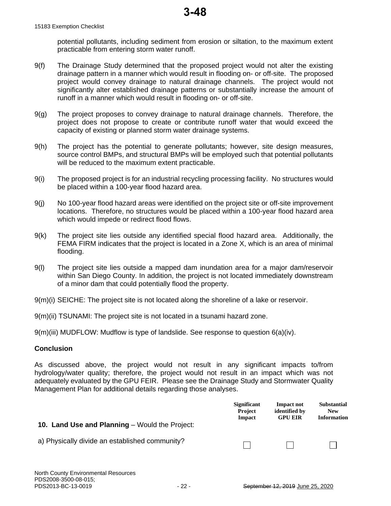potential pollutants, including sediment from erosion or siltation, to the maximum extent practicable from entering storm water runoff.

- 9(f) The Drainage Study determined that the proposed project would not alter the existing drainage pattern in a manner which would result in flooding on- or off-site. The proposed project would convey drainage to natural drainage channels. The project would not significantly alter established drainage patterns or substantially increase the amount of runoff in a manner which would result in flooding on- or off-site.
- 9(g) The project proposes to convey drainage to natural drainage channels. Therefore, the project does not propose to create or contribute runoff water that would exceed the capacity of existing or planned storm water drainage systems.
- 9(h) The project has the potential to generate pollutants; however, site design measures, source control BMPs, and structural BMPs will be employed such that potential pollutants will be reduced to the maximum extent practicable.
- 9(i) The proposed project is for an industrial recycling processing facility. No structures would be placed within a 100-year flood hazard area.
- 9(j) No 100-year flood hazard areas were identified on the project site or off-site improvement locations. Therefore, no structures would be placed within a 100-year flood hazard area which would impede or redirect flood flows.
- 9(k) The project site lies outside any identified special flood hazard area. Additionally, the FEMA FIRM indicates that the project is located in a Zone X, which is an area of minimal flooding.
- 9(l) The project site lies outside a mapped dam inundation area for a major dam/reservoir within San Diego County. In addition, the project is not located immediately downstream of a minor dam that could potentially flood the property.
- 9(m)(i) SEICHE: The project site is not located along the shoreline of a lake or reservoir.
- 9(m)(ii) TSUNAMI: The project site is not located in a tsunami hazard zone.
- 9(m)(iii) MUDFLOW: Mudflow is type of landslide. See response to question 6(a)(iv).

#### **Conclusion**

As discussed above, the project would not result in any significant impacts to/from hydrology/water quality; therefore, the project would not result in an impact which was not adequately evaluated by the GPU FEIR. Please see the Drainage Study and Stormwater Quality Management Plan for additional details regarding those analyses.

|                                                       | <b>Significant</b><br><b>Project</b><br>Impact | Impact not<br>identified by<br><b>GPU EIR</b> | <b>Substantial</b><br><b>New</b><br><b>Information</b> |
|-------------------------------------------------------|------------------------------------------------|-----------------------------------------------|--------------------------------------------------------|
| <b>10. Land Use and Planning</b> – Would the Project: |                                                |                                               |                                                        |
| a) Physically divide an established community?        |                                                |                                               |                                                        |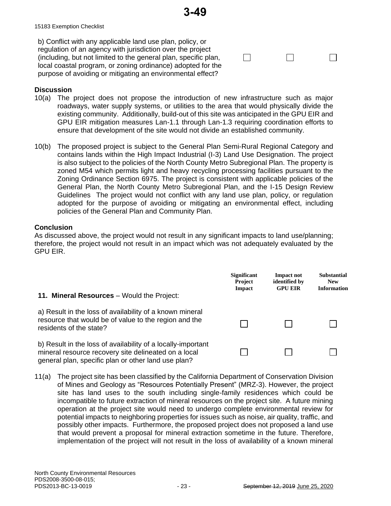$\Box$ 

 $\Box$ 

 $\Box$ 

b) Conflict with any applicable land use plan, policy, or regulation of an agency with jurisdiction over the project (including, but not limited to the general plan, specific plan, local coastal program, or zoning ordinance) adopted for the purpose of avoiding or mitigating an environmental effect?

#### **Discussion**

- 10(a) The project does not propose the introduction of new infrastructure such as major roadways, water supply systems, or utilities to the area that would physically divide the existing community. Additionally, build-out of this site was anticipated in the GPU EIR and GPU EIR mitigation measures Lan-1.1 through Lan-1.3 requiring coordination efforts to ensure that development of the site would not divide an established community.
- 10(b) The proposed project is subject to the General Plan Semi-Rural Regional Category and contains lands within the High Impact Industrial (I-3) Land Use Designation. The project is also subject to the policies of the North County Metro Subregional Plan. The property is zoned M54 which permits light and heavy recycling processing facilities pursuant to the Zoning Ordinance Section 6975. The project is consistent with applicable policies of the General Plan, the North County Metro Subregional Plan, and the I-15 Design Review Guidelines The project would not conflict with any land use plan, policy, or regulation adopted for the purpose of avoiding or mitigating an environmental effect, including policies of the General Plan and Community Plan.

#### **Conclusion**

As discussed above, the project would not result in any significant impacts to land use/planning; therefore, the project would not result in an impact which was not adequately evaluated by the GPU EIR.

| <b>11. Mineral Resources</b> – Would the Project:                                                                                                                           | <b>Significant</b><br><b>Project</b><br>Impact | <b>Impact not</b><br>identified by<br><b>GPU EIR</b> | <b>Substantial</b><br><b>New</b><br><b>Information</b> |
|-----------------------------------------------------------------------------------------------------------------------------------------------------------------------------|------------------------------------------------|------------------------------------------------------|--------------------------------------------------------|
| a) Result in the loss of availability of a known mineral<br>resource that would be of value to the region and the<br>residents of the state?                                |                                                |                                                      |                                                        |
| b) Result in the loss of availability of a locally-important<br>mineral resource recovery site delineated on a local<br>general plan, specific plan or other land use plan? |                                                |                                                      |                                                        |

11(a) The project site has been classified by the California Department of Conservation Division of Mines and Geology as "Resources Potentially Present" (MRZ-3). However, the project site has land uses to the south including single-family residences which could be incompatible to future extraction of mineral resources on the project site. A future mining operation at the project site would need to undergo complete environmental review for potential impacts to neighboring properties for issues such as noise, air quality, traffic, and possibly other impacts. Furthermore, the proposed project does not proposed a land use that would prevent a proposal for mineral extraction sometime in the future. Therefore, implementation of the project will not result in the loss of availability of a known mineral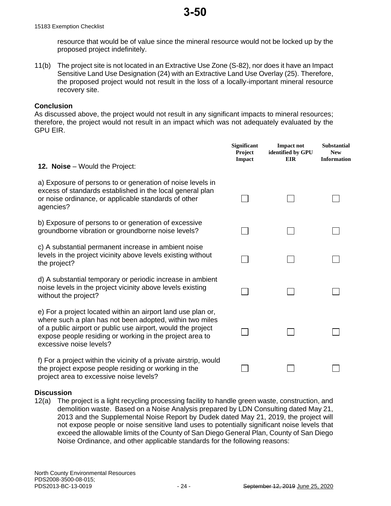resource that would be of value since the mineral resource would not be locked up by the proposed project indefinitely.

11(b) The project site is not located in an Extractive Use Zone (S-82), nor does it have an Impact Sensitive Land Use Designation (24) with an Extractive Land Use Overlay (25). Therefore, the proposed project would not result in the loss of a locally-important mineral resource recovery site.

#### **Conclusion**

As discussed above, the project would not result in any significant impacts to mineral resources; therefore, the project would not result in an impact which was not adequately evaluated by the GPU EIR.

| <b>12. Noise</b> – Would the Project:                                                                                                                                                                                                                                           | <b>Significant</b><br><b>Project</b><br>Impact | <b>Impact not</b><br>identified by GPU<br><b>EIR</b> | <b>Substantial</b><br><b>New</b><br><b>Information</b> |
|---------------------------------------------------------------------------------------------------------------------------------------------------------------------------------------------------------------------------------------------------------------------------------|------------------------------------------------|------------------------------------------------------|--------------------------------------------------------|
| a) Exposure of persons to or generation of noise levels in                                                                                                                                                                                                                      |                                                |                                                      |                                                        |
| excess of standards established in the local general plan<br>or noise ordinance, or applicable standards of other<br>agencies?                                                                                                                                                  |                                                |                                                      |                                                        |
| b) Exposure of persons to or generation of excessive<br>groundborne vibration or groundborne noise levels?                                                                                                                                                                      |                                                |                                                      |                                                        |
| c) A substantial permanent increase in ambient noise<br>levels in the project vicinity above levels existing without<br>the project?                                                                                                                                            |                                                |                                                      |                                                        |
| d) A substantial temporary or periodic increase in ambient<br>noise levels in the project vicinity above levels existing<br>without the project?                                                                                                                                |                                                |                                                      |                                                        |
| e) For a project located within an airport land use plan or,<br>where such a plan has not been adopted, within two miles<br>of a public airport or public use airport, would the project<br>expose people residing or working in the project area to<br>excessive noise levels? |                                                |                                                      |                                                        |
| f) For a project within the vicinity of a private airstrip, would<br>the project expose people residing or working in the<br>project area to excessive noise levels?                                                                                                            |                                                |                                                      |                                                        |

#### **Discussion**

12(a) The project is a light recycling processing facility to handle green waste, construction, and demolition waste. Based on a Noise Analysis prepared by LDN Consulting dated May 21, 2013 and the Supplemental Noise Report by Dudek dated May 21, 2019, the project will not expose people or noise sensitive land uses to potentially significant noise levels that exceed the allowable limits of the County of San Diego General Plan, County of San Diego Noise Ordinance, and other applicable standards for the following reasons: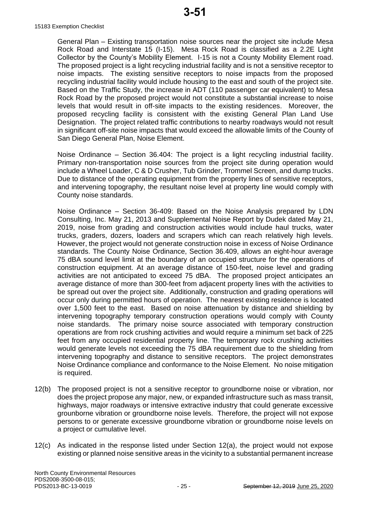15183 Exemption Checklist

General Plan – Existing transportation noise sources near the project site include Mesa Rock Road and Interstate 15 (I-15). Mesa Rock Road is classified as a 2.2E Light Collector by the County's Mobility Element. I-15 is not a County Mobility Element road. The proposed project is a light recycling industrial facility and is not a sensitive receptor to noise impacts. The existing sensitive receptors to noise impacts from the proposed recycling industrial facility would include housing to the east and south of the project site. Based on the Traffic Study, the increase in ADT (110 passenger car equivalent) to Mesa Rock Road by the proposed project would not constitute a substantial increase to noise levels that would result in off-site impacts to the existing residences. Moreover, the proposed recycling facility is consistent with the existing General Plan Land Use Designation. The project related traffic contributions to nearby roadways would not result in significant off-site noise impacts that would exceed the allowable limits of the County of San Diego General Plan, Noise Element.

Noise Ordinance – Section 36.404: The project is a light recycling industrial facility. Primary non-transportation noise sources from the project site during operation would include a Wheel Loader, C & D Crusher, Tub Grinder, Trommel Screen, and dump trucks. Due to distance of the operating equipment from the property lines of sensitive receptors, and intervening topography, the resultant noise level at property line would comply with County noise standards.

Noise Ordinance – Section 36-409: Based on the Noise Analysis prepared by LDN Consulting, Inc. May 21, 2013 and Supplemental Noise Report by Dudek dated May 21, 2019, noise from grading and construction activities would include haul trucks, water trucks, graders, dozers, loaders and scrapers which can reach relatively high levels. However, the project would not generate construction noise in excess of Noise Ordinance standards. The County Noise Ordinance, Section 36.409, allows an eight-hour average 75 dBA sound level limit at the boundary of an occupied structure for the operations of construction equipment. At an average distance of 150-feet, noise level and grading activities are not anticipated to exceed 75 dBA. The proposed project anticipates an average distance of more than 300-feet from adjacent property lines with the activities to be spread out over the project site. Additionally, construction and grading operations will occur only during permitted hours of operation. The nearest existing residence is located over 1,500 feet to the east. Based on noise attenuation by distance and shielding by intervening topography temporary construction operations would comply with County noise standards. The primary noise source associated with temporary construction operations are from rock crushing activities and would require a minimum set back of 225 feet from any occupied residential property line. The temporary rock crushing activities would generate levels not exceeding the 75 dBA requirement due to the shielding from intervening topography and distance to sensitive receptors. The project demonstrates Noise Ordinance compliance and conformance to the Noise Element. No noise mitigation is required.

- 12(b) The proposed project is not a sensitive receptor to groundborne noise or vibration, nor does the project propose any major, new, or expanded infrastructure such as mass transit, highways, major roadways or intensive extractive industry that could generate excessive grounborne vibration or groundborne noise levels. Therefore, the project will not expose persons to or generate excessive groundborne vibration or groundborne noise levels on a project or cumulative level.
- 12(c) As indicated in the response listed under Section 12(a), the project would not expose existing or planned noise sensitive areas in the vicinity to a substantial permanent increase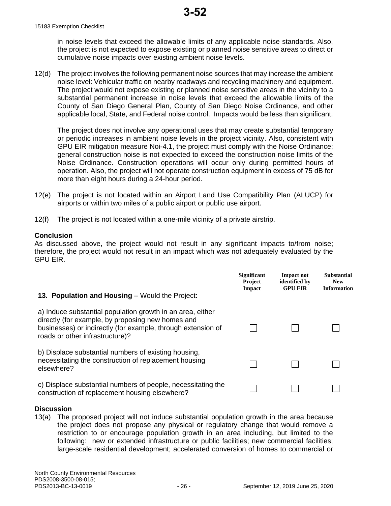in noise levels that exceed the allowable limits of any applicable noise standards. Also, the project is not expected to expose existing or planned noise sensitive areas to direct or cumulative noise impacts over existing ambient noise levels.

12(d) The project involves the following permanent noise sources that may increase the ambient noise level: Vehicular traffic on nearby roadways and recycling machinery and equipment. The project would not expose existing or planned noise sensitive areas in the vicinity to a substantial permanent increase in noise levels that exceed the allowable limits of the County of San Diego General Plan, County of San Diego Noise Ordinance, and other applicable local, State, and Federal noise control. Impacts would be less than significant.

The project does not involve any operational uses that may create substantial temporary or periodic increases in ambient noise levels in the project vicinity. Also, consistent with GPU EIR mitigation measure Noi-4.1, the project must comply with the Noise Ordinance; general construction noise is not expected to exceed the construction noise limits of the Noise Ordinance. Construction operations will occur only during permitted hours of operation. Also, the project will not operate construction equipment in excess of 75 dB for more than eight hours during a 24-hour period.

- 12(e) The project is not located within an Airport Land Use Compatibility Plan (ALUCP) for airports or within two miles of a public airport or public use airport.
- 12(f) The project is not located within a one-mile vicinity of a private airstrip.

#### **Conclusion**

As discussed above, the project would not result in any significant impacts to/from noise; therefore, the project would not result in an impact which was not adequately evaluated by the GPU EIR.

| 13. Population and Housing – Would the Project:                                                                                                                                                                    | <b>Significant</b><br><b>Project</b><br>Impact | <b>Impact not</b><br>identified by<br><b>GPU EIR</b> | <b>Substantial</b><br><b>New</b><br><b>Information</b> |
|--------------------------------------------------------------------------------------------------------------------------------------------------------------------------------------------------------------------|------------------------------------------------|------------------------------------------------------|--------------------------------------------------------|
| a) Induce substantial population growth in an area, either<br>directly (for example, by proposing new homes and<br>businesses) or indirectly (for example, through extension of<br>roads or other infrastructure)? |                                                |                                                      |                                                        |
| b) Displace substantial numbers of existing housing,<br>necessitating the construction of replacement housing<br>elsewhere?                                                                                        |                                                |                                                      |                                                        |
| c) Displace substantial numbers of people, necessitating the<br>construction of replacement housing elsewhere?                                                                                                     |                                                |                                                      |                                                        |

#### **Discussion**

13(a) The proposed project will not induce substantial population growth in the area because the project does not propose any physical or regulatory change that would remove a restriction to or encourage population growth in an area including, but limited to the following: new or extended infrastructure or public facilities; new commercial facilities; large-scale residential development; accelerated conversion of homes to commercial or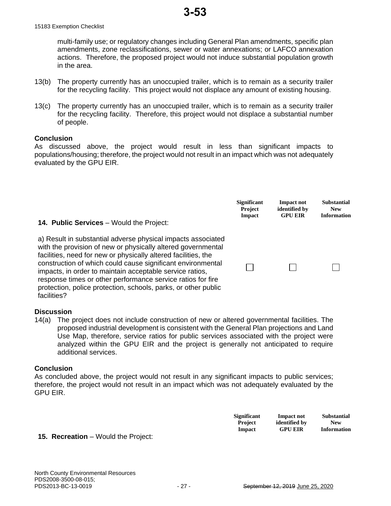multi-family use; or regulatory changes including General Plan amendments, specific plan amendments, zone reclassifications, sewer or water annexations; or LAFCO annexation actions. Therefore, the proposed project would not induce substantial population growth in the area.

- 13(b) The property currently has an unoccupied trailer, which is to remain as a security trailer for the recycling facility. This project would not displace any amount of existing housing.
- 13(c) The property currently has an unoccupied trailer, which is to remain as a security trailer for the recycling facility. Therefore, this project would not displace a substantial number of people.

#### **Conclusion**

As discussed above, the project would result in less than significant impacts to populations/housing; therefore, the project would not result in an impact which was not adequately evaluated by the GPU EIR.

| <b>14. Public Services</b> – Would the Project:                                                                                                                                                                                                                                                                                                                                                                                                                           | <b>Significant</b> | <b>Impact not</b> | <b>Substantial</b> |
|---------------------------------------------------------------------------------------------------------------------------------------------------------------------------------------------------------------------------------------------------------------------------------------------------------------------------------------------------------------------------------------------------------------------------------------------------------------------------|--------------------|-------------------|--------------------|
|                                                                                                                                                                                                                                                                                                                                                                                                                                                                           | <b>Project</b>     | identified by     | <b>New</b>         |
|                                                                                                                                                                                                                                                                                                                                                                                                                                                                           | Impact             | <b>GPU EIR</b>    | <b>Information</b> |
| a) Result in substantial adverse physical impacts associated<br>with the provision of new or physically altered governmental<br>facilities, need for new or physically altered facilities, the<br>construction of which could cause significant environmental<br>impacts, in order to maintain acceptable service ratios,<br>response times or other performance service ratios for fire<br>protection, police protection, schools, parks, or other public<br>facilities? |                    |                   |                    |

#### **Discussion**

14(a) The project does not include construction of new or altered governmental facilities. The proposed industrial development is consistent with the General Plan projections and Land Use Map, therefore, service ratios for public services associated with the project were analyzed within the GPU EIR and the project is generally not anticipated to require additional services.

#### **Conclusion**

As concluded above, the project would not result in any significant impacts to public services; therefore, the project would not result in an impact which was not adequately evaluated by the GPU EIR.

|                       |                                 | <b>Significant</b><br><b>Project</b><br>Impact | <b>Impact not</b><br>identified by<br><b>GPU EIR</b> | <b>Substantial</b><br><b>New</b><br><b>Information</b> |
|-----------------------|---------------------------------|------------------------------------------------|------------------------------------------------------|--------------------------------------------------------|
| $D - - - - - - - - -$ | $M_{\alpha}$ ulal tha Desia at: |                                                |                                                      |                                                        |

#### **15. Recreation** – Would the Project:

North County Environmental Resources

PDS2008-3500-08-015;<br>PDS2013-BC-13-0019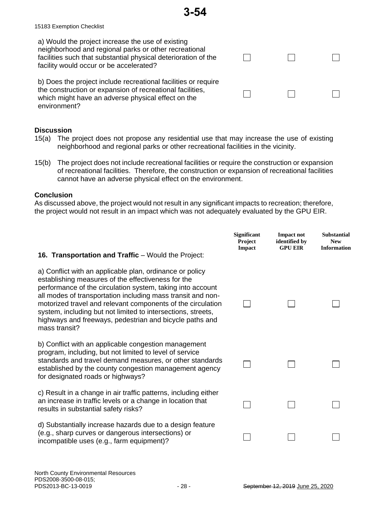15183 Exemption Checklist

| a) Would the project increase the use of existing<br>neighborhood and regional parks or other recreational<br>facilities such that substantial physical deterioration of the<br>facility would occur or be accelerated? |  |  |
|-------------------------------------------------------------------------------------------------------------------------------------------------------------------------------------------------------------------------|--|--|
| b) Does the project include recreational facilities or require<br>the construction or expansion of recreational facilities,<br>which might have an adverse physical effect on the<br>environment?                       |  |  |

# **Discussion**

- 15(a) The project does not propose any residential use that may increase the use of existing neighborhood and regional parks or other recreational facilities in the vicinity.
- 15(b) The project does not include recreational facilities or require the construction or expansion of recreational facilities. Therefore, the construction or expansion of recreational facilities cannot have an adverse physical effect on the environment.

#### **Conclusion**

As discussed above, the project would not result in any significant impacts to recreation; therefore, the project would not result in an impact which was not adequately evaluated by the GPU EIR.

| <b>16. Transportation and Traffic</b> – Would the Project:                                                                                                                                                                                                                                                                                                                                                                                             | <b>Significant</b><br><b>Project</b><br><b>Impact</b> | <b>Impact not</b><br>identified by<br><b>GPU EIR</b> | <b>Substantial</b><br><b>New</b><br><b>Information</b> |
|--------------------------------------------------------------------------------------------------------------------------------------------------------------------------------------------------------------------------------------------------------------------------------------------------------------------------------------------------------------------------------------------------------------------------------------------------------|-------------------------------------------------------|------------------------------------------------------|--------------------------------------------------------|
| a) Conflict with an applicable plan, ordinance or policy<br>establishing measures of the effectiveness for the<br>performance of the circulation system, taking into account<br>all modes of transportation including mass transit and non-<br>motorized travel and relevant components of the circulation<br>system, including but not limited to intersections, streets,<br>highways and freeways, pedestrian and bicycle paths and<br>mass transit? |                                                       |                                                      |                                                        |
| b) Conflict with an applicable congestion management<br>program, including, but not limited to level of service<br>standards and travel demand measures, or other standards<br>established by the county congestion management agency<br>for designated roads or highways?                                                                                                                                                                             |                                                       |                                                      |                                                        |
| c) Result in a change in air traffic patterns, including either<br>an increase in traffic levels or a change in location that<br>results in substantial safety risks?                                                                                                                                                                                                                                                                                  |                                                       |                                                      |                                                        |
| d) Substantially increase hazards due to a design feature<br>(e.g., sharp curves or dangerous intersections) or<br>incompatible uses (e.g., farm equipment)?                                                                                                                                                                                                                                                                                           |                                                       |                                                      |                                                        |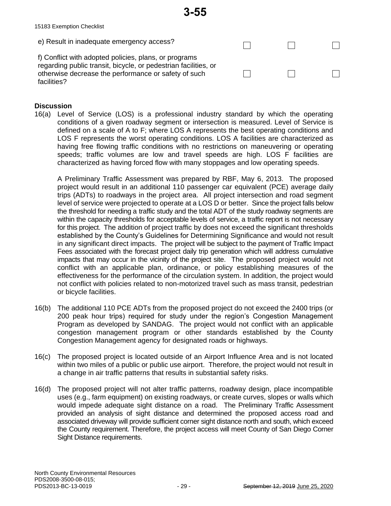

**3-55**

#### **Discussion**

16(a) Level of Service (LOS) is a professional industry standard by which the operating conditions of a given roadway segment or intersection is measured. Level of Service is defined on a scale of A to F; where LOS A represents the best operating conditions and LOS F represents the worst operating conditions. LOS A facilities are characterized as having free flowing traffic conditions with no restrictions on maneuvering or operating speeds; traffic volumes are low and travel speeds are high. LOS F facilities are characterized as having forced flow with many stoppages and low operating speeds.

A Preliminary Traffic Assessment was prepared by RBF, May 6, 2013. The proposed project would result in an additional 110 passenger car equivalent (PCE) average daily trips (ADTs) to roadways in the project area. All project intersection and road segment level of service were projected to operate at a LOS D or better. Since the project falls below the threshold for needing a traffic study and the total ADT of the study roadway segments are within the capacity thresholds for acceptable levels of service, a traffic report is not necessary for this project. The addition of project traffic by does not exceed the significant thresholds established by the County's Guidelines for Determining Significance and would not result in any significant direct impacts. The project will be subject to the payment of Traffic Impact Fees associated with the forecast project daily trip generation which will address cumulative impacts that may occur in the vicinity of the project site. The proposed project would not conflict with an applicable plan, ordinance, or policy establishing measures of the effectiveness for the performance of the circulation system. In addition, the project would not conflict with policies related to non-motorized travel such as mass transit, pedestrian or bicycle facilities.

- 16(b) The additional 110 PCE ADTs from the proposed project do not exceed the 2400 trips (or 200 peak hour trips) required for study under the region's Congestion Management Program as developed by SANDAG. The project would not conflict with an applicable congestion management program or other standards established by the County Congestion Management agency for designated roads or highways.
- 16(c) The proposed project is located outside of an Airport Influence Area and is not located within two miles of a public or public use airport. Therefore, the project would not result in a change in air traffic patterns that results in substantial safety risks.
- 16(d) The proposed project will not alter traffic patterns, roadway design, place incompatible uses (e.g., farm equipment) on existing roadways, or create curves, slopes or walls which would impede adequate sight distance on a road. The Preliminary Traffic Assessment provided an analysis of sight distance and determined the proposed access road and associated driveway will provide sufficient corner sight distance north and south, which exceed the County requirement. Therefore, the project access will meet County of San Diego Corner Sight Distance requirements.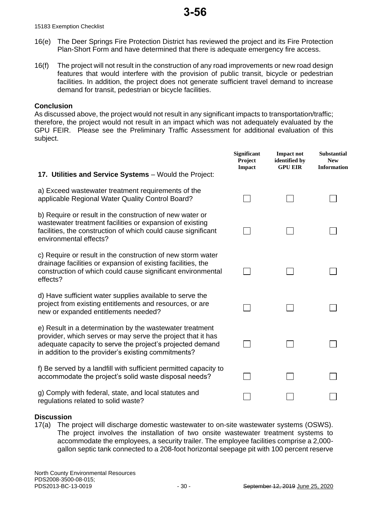15183 Exemption Checklist

- 16(e) The Deer Springs Fire Protection District has reviewed the project and its Fire Protection Plan-Short Form and have determined that there is adequate emergency fire access.
- 16(f) The project will not result in the construction of any road improvements or new road design features that would interfere with the provision of public transit, bicycle or pedestrian facilities. In addition, the project does not generate sufficient travel demand to increase demand for transit, pedestrian or bicycle facilities.

#### **Conclusion**

As discussed above, the project would not result in any significant impacts to transportation/traffic; therefore, the project would not result in an impact which was not adequately evaluated by the GPU FEIR. Please see the Preliminary Traffic Assessment for additional evaluation of this subject.

|                                                                                                                                                                                                                                             | <b>Significant</b><br>Project<br><b>Impact</b> | <b>Impact not</b><br>identified by<br><b>GPU EIR</b> | <b>Substantial</b><br><b>New</b><br><b>Information</b> |
|---------------------------------------------------------------------------------------------------------------------------------------------------------------------------------------------------------------------------------------------|------------------------------------------------|------------------------------------------------------|--------------------------------------------------------|
| 17. Utilities and Service Systems - Would the Project:                                                                                                                                                                                      |                                                |                                                      |                                                        |
| a) Exceed wastewater treatment requirements of the<br>applicable Regional Water Quality Control Board?                                                                                                                                      |                                                |                                                      |                                                        |
| b) Require or result in the construction of new water or<br>wastewater treatment facilities or expansion of existing<br>facilities, the construction of which could cause significant<br>environmental effects?                             |                                                |                                                      |                                                        |
| c) Require or result in the construction of new storm water<br>drainage facilities or expansion of existing facilities, the<br>construction of which could cause significant environmental<br>effects?                                      |                                                |                                                      |                                                        |
| d) Have sufficient water supplies available to serve the<br>project from existing entitlements and resources, or are<br>new or expanded entitlements needed?                                                                                |                                                |                                                      |                                                        |
| e) Result in a determination by the wastewater treatment<br>provider, which serves or may serve the project that it has<br>adequate capacity to serve the project's projected demand<br>in addition to the provider's existing commitments? |                                                |                                                      |                                                        |
| f) Be served by a landfill with sufficient permitted capacity to<br>accommodate the project's solid waste disposal needs?                                                                                                                   |                                                |                                                      |                                                        |
| g) Comply with federal, state, and local statutes and<br>regulations related to solid waste?                                                                                                                                                |                                                |                                                      |                                                        |

# **Discussion**

17(a) The project will discharge domestic wastewater to on-site wastewater systems (OSWS). The project involves the installation of two onsite wastewater treatment systems to accommodate the employees, a security trailer. The employee facilities comprise a 2,000 gallon septic tank connected to a 208-foot horizontal seepage pit with 100 percent reserve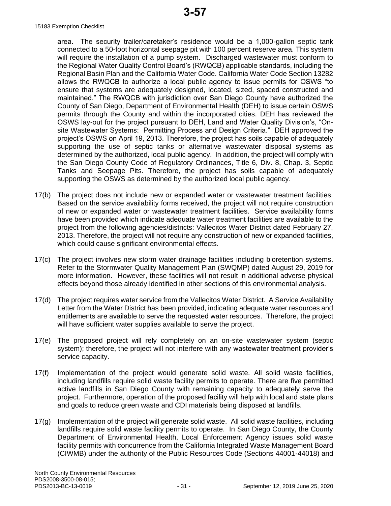area. The security trailer/caretaker's residence would be a 1,000-gallon septic tank connected to a 50-foot horizontal seepage pit with 100 percent reserve area. This system will require the installation of a pump system. Discharged wastewater must conform to the Regional Water Quality Control Board's (RWQCB) applicable standards, including the Regional Basin Plan and the California Water Code. California Water Code Section 13282 allows the RWQCB to authorize a local public agency to issue permits for OSWS "to ensure that systems are adequately designed, located, sized, spaced constructed and maintained." The RWQCB with jurisdiction over San Diego County have authorized the County of San Diego, Department of Environmental Health (DEH) to issue certain OSWS permits through the County and within the incorporated cities. DEH has reviewed the OSWS lay-out for the project pursuant to DEH, Land and Water Quality Division's, "Onsite Wastewater Systems: Permitting Process and Design Criteria." DEH approved the project's OSWS on April 19, 2013. Therefore, the project has soils capable of adequately supporting the use of septic tanks or alternative wastewater disposal systems as determined by the authorized, local public agency. In addition, the project will comply with the San Diego County Code of Regulatory Ordinances, Title 6, Div. 8, Chap. 3, Septic Tanks and Seepage Pits. Therefore, the project has soils capable of adequately supporting the OSWS as determined by the authorized local public agency.

- 17(b) The project does not include new or expanded water or wastewater treatment facilities. Based on the service availability forms received, the project will not require construction of new or expanded water or wastewater treatment facilities. Service availability forms have been provided which indicate adequate water treatment facilities are available to the project from the following agencies/districts: Vallecitos Water District dated February 27, 2013. Therefore, the project will not require any construction of new or expanded facilities, which could cause significant environmental effects.
- 17(c) The project involves new storm water drainage facilities including bioretention systems. Refer to the Stormwater Quality Management Plan (SWQMP) dated August 29, 2019 for more information. However, these facilities will not result in additional adverse physical effects beyond those already identified in other sections of this environmental analysis.
- 17(d) The project requires water service from the Vallecitos Water District. A Service Availability Letter from the Water District has been provided, indicating adequate water resources and entitlements are available to serve the requested water resources. Therefore, the project will have sufficient water supplies available to serve the project.
- 17(e) The proposed project will rely completely on an on-site wastewater system (septic system); therefore, the project will not interfere with any wastewater treatment provider's service capacity.
- 17(f) Implementation of the project would generate solid waste. All solid waste facilities, including landfills require solid waste facility permits to operate. There are five permitted active landfills in San Diego County with remaining capacity to adequately serve the project. Furthermore, operation of the proposed facility will help with local and state plans and goals to reduce green waste and CDI materials being disposed at landfills.
- 17(g) Implementation of the project will generate solid waste. All solid waste facilities, including landfills require solid waste facility permits to operate. In San Diego County, the County Department of Environmental Health, Local Enforcement Agency issues solid waste facility permits with concurrence from the California Integrated Waste Management Board (CIWMB) under the authority of the Public Resources Code (Sections 44001-44018) and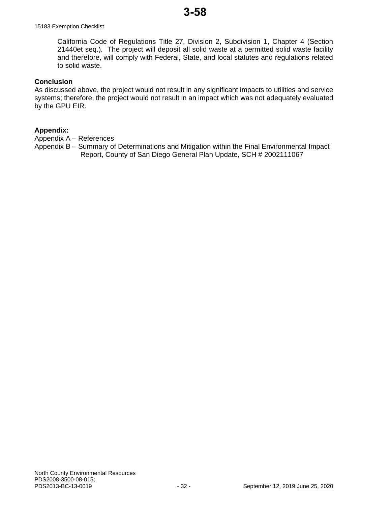#### 15183 Exemption Checklist

California Code of Regulations Title 27, Division 2, Subdivision 1, Chapter 4 (Section 21440et seq.). The project will deposit all solid waste at a permitted solid waste facility and therefore, will comply with Federal, State, and local statutes and regulations related to solid waste.

#### **Conclusion**

As discussed above, the project would not result in any significant impacts to utilities and service systems; therefore, the project would not result in an impact which was not adequately evaluated by the GPU EIR.

#### **Appendix:**

Appendix A – References

Appendix B – Summary of Determinations and Mitigation within the Final Environmental Impact Report, County of San Diego General Plan Update, SCH # 2002111067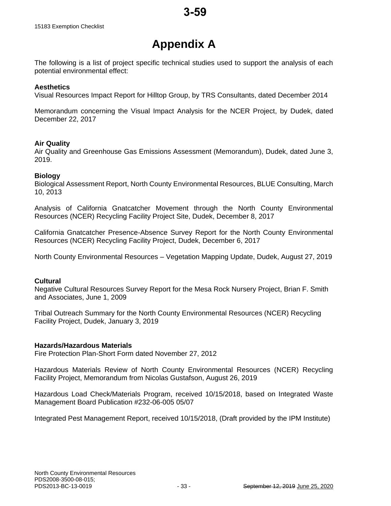# **Appendix A**

The following is a list of project specific technical studies used to support the analysis of each potential environmental effect:

#### **Aesthetics**

Visual Resources Impact Report for Hilltop Group, by TRS Consultants, dated December 2014

Memorandum concerning the Visual Impact Analysis for the NCER Project, by Dudek, dated December 22, 2017

#### **Air Quality**

Air Quality and Greenhouse Gas Emissions Assessment (Memorandum), Dudek, dated June 3, 2019.

#### **Biology**

Biological Assessment Report, North County Environmental Resources, BLUE Consulting, March 10, 2013

Analysis of California Gnatcatcher Movement through the North County Environmental Resources (NCER) Recycling Facility Project Site, Dudek, December 8, 2017

California Gnatcatcher Presence-Absence Survey Report for the North County Environmental Resources (NCER) Recycling Facility Project, Dudek, December 6, 2017

North County Environmental Resources – Vegetation Mapping Update, Dudek, August 27, 2019

#### **Cultural**

Negative Cultural Resources Survey Report for the Mesa Rock Nursery Project, Brian F. Smith and Associates, June 1, 2009

Tribal Outreach Summary for the North County Environmental Resources (NCER) Recycling Facility Project, Dudek, January 3, 2019

#### **Hazards/Hazardous Materials**

Fire Protection Plan-Short Form dated November 27, 2012

Hazardous Materials Review of North County Environmental Resources (NCER) Recycling Facility Project, Memorandum from Nicolas Gustafson, August 26, 2019

Hazardous Load Check/Materials Program, received 10/15/2018, based on Integrated Waste Management Board Publication #232-06-005 05/07

Integrated Pest Management Report, received 10/15/2018, (Draft provided by the IPM Institute)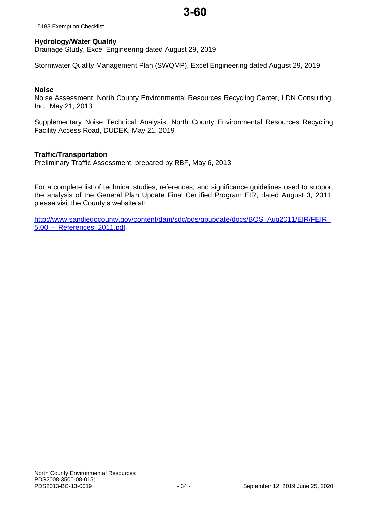15183 Exemption Checklist

#### **Hydrology/Water Quality**

Drainage Study, Excel Engineering dated August 29, 2019

Stormwater Quality Management Plan (SWQMP), Excel Engineering dated August 29, 2019

#### **Noise**

Noise Assessment, North County Environmental Resources Recycling Center, LDN Consulting, Inc., May 21, 2013

Supplementary Noise Technical Analysis, North County Environmental Resources Recycling Facility Access Road, DUDEK, May 21, 2019

#### **Traffic/Transportation**

Preliminary Traffic Assessment, prepared by RBF, May 6, 2013

For a complete list of technical studies, references, and significance guidelines used to support the analysis of the General Plan Update Final Certified Program EIR, dated August 3, 2011, please visit the County's website at:

[http://www.sandiegocounty.gov/content/dam/sdc/pds/gpupdate/docs/BOS\\_Aug2011/EIR/FEIR\\_](http://www.sandiegocounty.gov/content/dam/sdc/pds/gpupdate/docs/BOS_Aug2011/EIR/FEIR_5.00_-_References_2011.pdf) [5.00\\_-\\_References\\_2011.pdf](http://www.sandiegocounty.gov/content/dam/sdc/pds/gpupdate/docs/BOS_Aug2011/EIR/FEIR_5.00_-_References_2011.pdf)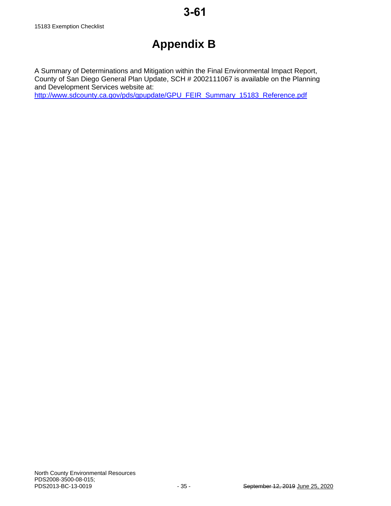# **Appendix B**

A Summary of Determinations and Mitigation within the Final Environmental Impact Report, County of San Diego General Plan Update, SCH # 2002111067 is available on the Planning and Development Services website at: [http://www.sdcounty.ca.gov/pds/gpupdate/GPU\\_FEIR\\_Summary\\_15183\\_Reference.pdf](http://www.sdcounty.ca.gov/pds/gpupdate/GPU_FEIR_Summary_15183_Reference.pdf)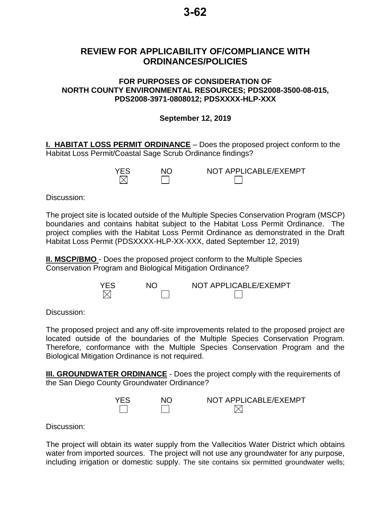# **REVIEW FOR APPLICABILITY OF/COMPLIANCE WITH ORDINANCES/POLICIES**

# **FOR PURPOSES OF CONSIDERATION OF NORTH COUNTY ENVIRONMENTAL RESOURCES; PDS2008-3500-08-015, PDS2008-3971-0808012; PDSXXXX-HLP-XXX**

# **September 12, 2019**

**I. HABITAT LOSS PERMIT ORDINANCE** – Does the proposed project conform to the Habitat Loss Permit/Coastal Sage Scrub Ordinance findings?

| <b>YES</b> | NC | NOT APPLICABLE/EXEMPT |
|------------|----|-----------------------|
|            |    |                       |

Discussion:

The project site is located outside of the Multiple Species Conservation Program (MSCP) boundaries and contains habitat subject to the Habitat Loss Permit Ordinance. The project complies with the Habitat Loss Permit Ordinance as demonstrated in the Draft Habitat Loss Permit (PDSXXXX-HLP-XX-XXX, dated September 12, 2019)

**II. MSCP/BMO** - Does the proposed project conform to the Multiple Species Conservation Program and Biological Mitigation Ordinance?



Discussion:

The proposed project and any off-site improvements related to the proposed project are located outside of the boundaries of the Multiple Species Conservation Program. Therefore, conformance with the Multiple Species Conservation Program and the Biological Mitigation Ordinance is not required.

**III. GROUNDWATER ORDINANCE** - Does the project comply with the requirements of the San Diego County Groundwater Ordinance?



Discussion:

The project will obtain its water supply from the Vallecitios Water District which obtains water from imported sources. The project will not use any groundwater for any purpose, including irrigation or domestic supply. The site contains six permitted groundwater wells;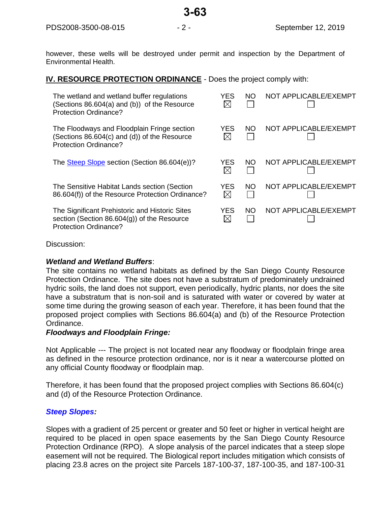however, these wells will be destroyed under permit and inspection by the Department of Environmental Health.

# **IV. RESOURCE PROTECTION ORDINANCE** - Does the project comply with:

| The wetland and wetland buffer regulations<br>(Sections 86.604(a) and (b)) of the Resource<br><b>Protection Ordinance?</b>       | YES                | NO. | NOT APPLICABLE/EXEMPT |
|----------------------------------------------------------------------------------------------------------------------------------|--------------------|-----|-----------------------|
| The Floodways and Floodplain Fringe section<br>(Sections 86.604(c) and (d)) of the Resource<br><b>Protection Ordinance?</b>      | YES                | NO. | NOT APPLICABLE/EXEMPT |
| The Steep Slope section (Section 86.604(e))?                                                                                     | <b>YES</b>         | NO. | NOT APPLICABLE/EXEMPT |
| The Sensitive Habitat Lands section (Section<br>86.604(f)) of the Resource Protection Ordinance?                                 | YES<br>$\boxtimes$ | NO. | NOT APPLICABLE/EXEMPT |
| The Significant Prehistoric and Historic Sites<br>section (Section $86.604(g)$ ) of the Resource<br><b>Protection Ordinance?</b> | YES                | NO. | NOT APPLICABLE/EXEMPT |

Discussion:

# *Wetland and Wetland Buffers*:

The site contains no wetland habitats as defined by the San Diego County Resource Protection Ordinance. The site does not have a substratum of predominately undrained hydric soils, the land does not support, even periodically, hydric plants, nor does the site have a substratum that is non-soil and is saturated with water or covered by water at some time during the growing season of each year. Therefore, it has been found that the proposed project complies with Sections 86.604(a) and (b) of the Resource Protection Ordinance.

# *Floodways and Floodplain Fringe:*

Not Applicable --- The project is not located near any floodway or floodplain fringe area as defined in the resource protection ordinance, nor is it near a watercourse plotted on any official County floodway or floodplain map.

Therefore, it has been found that the proposed project complies with Sections 86.604(c) and (d) of the Resource Protection Ordinance.

# *[Steep Slopes:](file://///ustlsncsd0004/LUEG/DPLU/REGULATORY%20PLANNING/PROCEDURES/CEQA%20-%20PERMIT%20PROCESSING%20PROCEDURES/Specialty%20Procedures/Procedures%20for%20RPO%20Steep%20Slope%20Analysis.doc)*

Slopes with a gradient of 25 percent or greater and 50 feet or higher in vertical height are required to be placed in open space easements by the San Diego County Resource Protection Ordinance (RPO). A slope analysis of the parcel indicates that a steep slope easement will not be required. The Biological report includes mitigation which consists of placing 23.8 acres on the project site Parcels 187-100-37, 187-100-35, and 187-100-31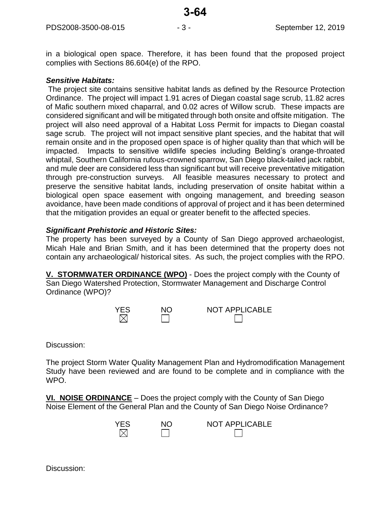in a biological open space. Therefore, it has been found that the proposed project complies with Sections 86.604(e) of the RPO.

# *Sensitive Habitats:*

The project site contains sensitive habitat lands as defined by the Resource Protection Ordinance. The project will impact 1.91 acres of Diegan coastal sage scrub, 11.82 acres of Mafic southern mixed chaparral, and 0.02 acres of Willow scrub. These impacts are considered significant and will be mitigated through both onsite and offsite mitigation. The project will also need approval of a Habitat Loss Permit for impacts to Diegan coastal sage scrub. The project will not impact sensitive plant species, and the habitat that will remain onsite and in the proposed open space is of higher quality than that which will be impacted. Impacts to sensitive wildlife species including Belding's orange-throated whiptail, Southern California rufous-crowned sparrow, San Diego black-tailed jack rabbit, and mule deer are considered less than significant but will receive preventative mitigation through pre-construction surveys. All feasible measures necessary to protect and preserve the sensitive habitat lands, including preservation of onsite habitat within a biological open space easement with ongoing management, and breeding season avoidance, have been made conditions of approval of project and it has been determined that the mitigation provides an equal or greater benefit to the affected species.

# *Significant Prehistoric and Historic Sites:*

The property has been surveyed by a County of San Diego approved archaeologist, Micah Hale and Brian Smith, and it has been determined that the property does not contain any archaeological/ historical sites. As such, the project complies with the RPO.

**V. STORMWATER ORDINANCE (WPO)** - Does the project comply with the County of San Diego Watershed Protection, Stormwater Management and Discharge Control Ordinance (WPO)?

| <b>YES</b> | NO. | <b>NOT APPLICABLE</b> |
|------------|-----|-----------------------|
| M          |     |                       |

Discussion:

The project Storm Water Quality Management Plan and Hydromodification Management Study have been reviewed and are found to be complete and in compliance with the WPO.

**VI. NOISE ORDINANCE** – Does the project comply with the County of San Diego Noise Element of the General Plan and the County of San Diego Noise Ordinance?

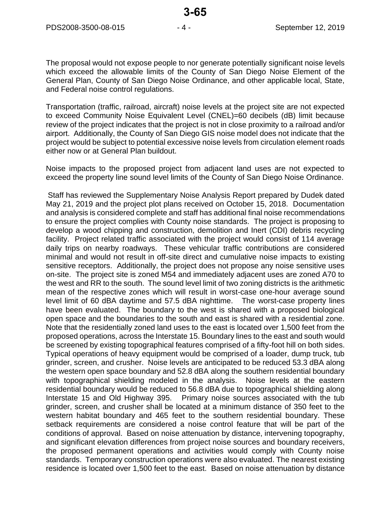The proposal would not expose people to nor generate potentially significant noise levels which exceed the allowable limits of the County of San Diego Noise Element of the General Plan, County of San Diego Noise Ordinance, and other applicable local, State, and Federal noise control regulations.

Transportation (traffic, railroad, aircraft) noise levels at the project site are not expected to exceed Community Noise Equivalent Level (CNEL)=60 decibels (dB) limit because review of the project indicates that the project is not in close proximity to a railroad and/or airport. Additionally, the County of San Diego GIS noise model does not indicate that the project would be subject to potential excessive noise levels from circulation element roads either now or at General Plan buildout.

Noise impacts to the proposed project from adjacent land uses are not expected to exceed the property line sound level limits of the County of San Diego Noise Ordinance.

Staff has reviewed the Supplementary Noise Analysis Report prepared by Dudek dated May 21, 2019 and the project plot plans received on October 15, 2018. Documentation and analysis is considered complete and staff has additional final noise recommendations to ensure the project complies with County noise standards. The project is proposing to develop a wood chipping and construction, demolition and Inert (CDI) debris recycling facility. Project related traffic associated with the project would consist of 114 average daily trips on nearby roadways. These vehicular traffic contributions are considered minimal and would not result in off-site direct and cumulative noise impacts to existing sensitive receptors. Additionally, the project does not propose any noise sensitive uses on-site. The project site is zoned M54 and immediately adjacent uses are zoned A70 to the west and RR to the south. The sound level limit of two zoning districts is the arithmetic mean of the respective zones which will result in worst-case one-hour average sound level limit of 60 dBA daytime and 57.5 dBA nighttime. The worst-case property lines have been evaluated. The boundary to the west is shared with a proposed biological open space and the boundaries to the south and east is shared with a residential zone. Note that the residentially zoned land uses to the east is located over 1,500 feet from the proposed operations, across the Interstate 15. Boundary lines to the east and south would be screened by existing topographical features comprised of a fifty-foot hill on both sides. Typical operations of heavy equipment would be comprised of a loader, dump truck, tub grinder, screen, and crusher. Noise levels are anticipated to be reduced 53.3 dBA along the western open space boundary and 52.8 dBA along the southern residential boundary with topographical shielding modeled in the analysis. Noise levels at the eastern residential boundary would be reduced to 56.8 dBA due to topographical shielding along Interstate 15 and Old Highway 395. Primary noise sources associated with the tub grinder, screen, and crusher shall be located at a minimum distance of 350 feet to the western habitat boundary and 465 feet to the southern residential boundary. These setback requirements are considered a noise control feature that will be part of the conditions of approval. Based on noise attenuation by distance, intervening topography, and significant elevation differences from project noise sources and boundary receivers, the proposed permanent operations and activities would comply with County noise standards. Temporary construction operations were also evaluated. The nearest existing residence is located over 1,500 feet to the east. Based on noise attenuation by distance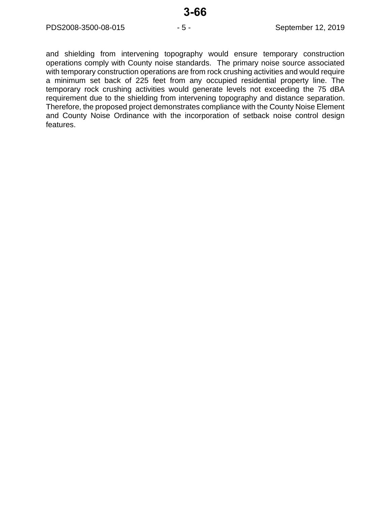and shielding from intervening topography would ensure temporary construction operations comply with County noise standards. The primary noise source associated with temporary construction operations are from rock crushing activities and would require a minimum set back of 225 feet from any occupied residential property line. The temporary rock crushing activities would generate levels not exceeding the 75 dBA requirement due to the shielding from intervening topography and distance separation. Therefore, the proposed project demonstrates compliance with the County Noise Element and County Noise Ordinance with the incorporation of setback noise control design features.